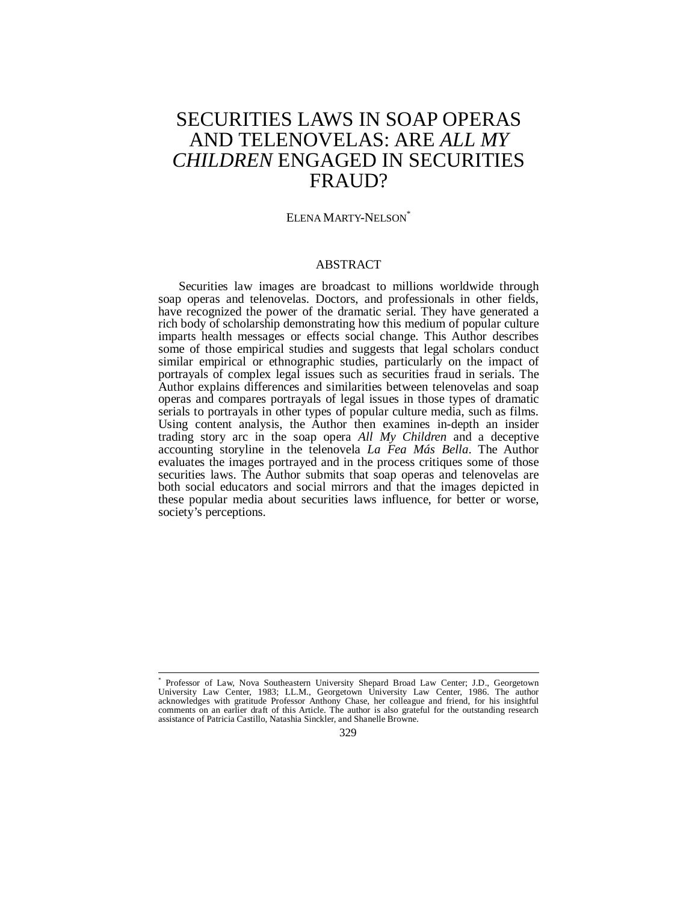# SECURITIES LAWS IN SOAP OPERAS AND TELENOVELAS: ARE *ALL MY CHILDREN* ENGAGED IN SECURITIES FRAUD?

## ELENA MARTY-NELSON<sup>\*</sup>

# ABSTRACT

Securities law images are broadcast to millions worldwide through soap operas and telenovelas. Doctors, and professionals in other fields, have recognized the power of the dramatic serial. They have generated a rich body of scholarship demonstrating how this medium of popular culture imparts health messages or effects social change. This Author describes some of those empirical studies and suggests that legal scholars conduct similar empirical or ethnographic studies, particularly on the impact of portrayals of complex legal issues such as securities fraud in serials. The Author explains differences and similarities between telenovelas and soap operas and compares portrayals of legal issues in those types of dramatic serials to portrayals in other types of popular culture media, such as films. Using content analysis, the Author then examines in-depth an insider trading story arc in the soap opera *All My Children* and a deceptive accounting storyline in the telenovela *La Fea Más Bella*. The Author evaluates the images portrayed and in the process critiques some of those securities laws. The Author submits that soap operas and telenovelas are both social educators and social mirrors and that the images depicted in these popular media about securities laws influence, for better or worse, society's perceptions.

 $\overline{a}$ \* Professor of Law, Nova Southeastern University Shepard Broad Law Center; J.D., Georgetown University Law Center, 1983; LL.M., Georgetown University Law Center, 1986. The author acknowledges with gratitude Professor Anthony Chase, her colleague and friend, for his insightful comments on an earlier draft of this Article. The author is also grateful for the outstanding research assistance of Patricia Castillo, Natashia Sinckler, and Shanelle Browne.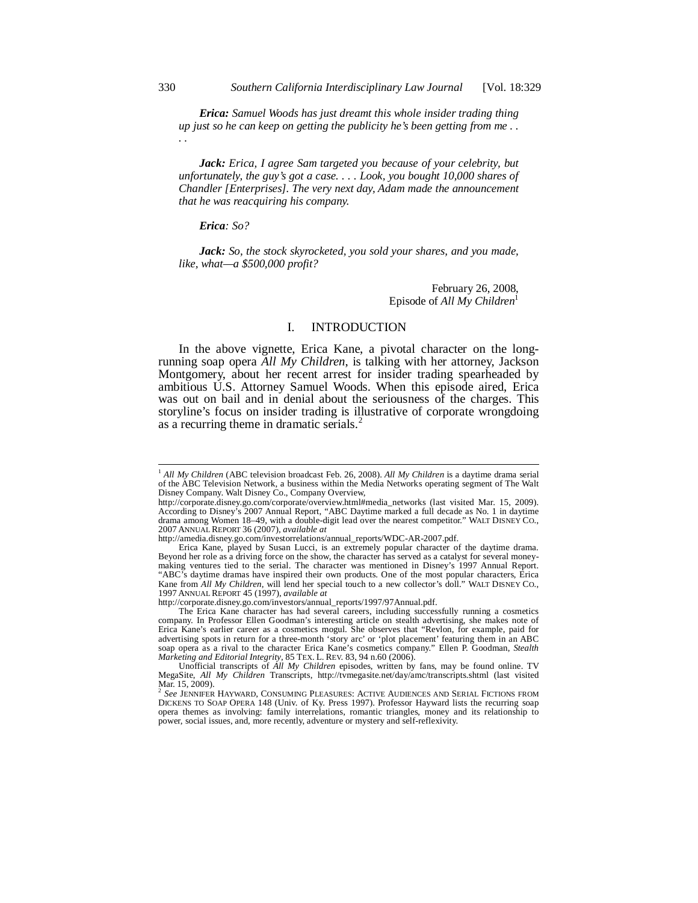*Erica: Samuel Woods has just dreamt this whole insider trading thing up just so he can keep on getting the publicity he's been getting from me . . . .* 

*Jack: Erica, I agree Sam targeted you because of your celebrity, but unfortunately, the guy's got a case. . . . Look, you bought 10,000 shares of Chandler [Enterprises]. The very next day, Adam made the announcement that he was reacquiring his company.* 

*Erica: So?* 

*Jack: So, the stock skyrocketed, you sold your shares, and you made, like, what—a \$500,000 profit?* 

> February 26, 2008, Episode of *All My Children*<sup>1</sup>

#### I. INTRODUCTION

In the above vignette, Erica Kane, a pivotal character on the longrunning soap opera *All My Children*, is talking with her attorney, Jackson Montgomery, about her recent arrest for insider trading spearheaded by ambitious U.S. Attorney Samuel Woods. When this episode aired, Erica was out on bail and in denial about the seriousness of the charges. This storyline's focus on insider trading is illustrative of corporate wrongdoing as a recurring theme in dramatic serials.<sup>2</sup>

http://corporate.disney.go.com/investors/annual\_reports/1997/97Annual.pdf.

<sup>1</sup> *All My Children* (ABC television broadcast Feb. 26, 2008). *All My Children* is a daytime drama serial of the ABC Television Network, a business within the Media Networks operating segment of The Walt Disney Company. Walt Disney Co., Company Overview,

http://corporate.disney.go.com/corporate/overview.html#media\_networks (last visited Mar. 15, 2009). According to Disney's 2007 Annual Report, "ABC Daytime marked a full decade as No. 1 in daytime drama among Women 18–49, with a double-digit lead over the nearest competitor." WALT DISNEY CO., 2007 ANNUAL REPORT 36 (2007), *available at*

http://amedia.disney.go.com/investorrelations/annual\_reports/WDC-AR-2007.pdf.

Erica Kane, played by Susan Lucci, is an extremely popular character of the daytime drama. Beyond her role as a driving force on the show, the character has served as a catalyst for several moneymaking ventures tied to the serial. The character was mentioned in Disney's 1997 Annual Report. "ABC's daytime dramas have inspired their own products. One of the most popular characters, Erica Kane from *All My Children*, will lend her special touch to a new collector's doll." WALT DISNEY CO., 1997 ANNUAL REPORT 45 (1997), *available at* 

The Erica Kane character has had several careers, including successfully running a cosmetics company. In Professor Ellen Goodman's interesting article on stealth advertising, she makes note of Erica Kane's earlier career as a cosmetics mogul. She observes that "Revlon, for example, paid for advertising spots in return for a three-month 'story arc' or 'plot placement' featuring them in an ABC soap opera as a rival to the character Erica Kane's cosmetics company." Ellen P. Goodman, *Stealth Marketing and Editorial Integrity*, 85 TEX. L. REV. 83, 94 n.60 (2006).

Unofficial transcripts of *All My Children* episodes, written by fans, may be found online. TV MegaSite, *All My Children* Transcripts, http://tvmegasite.net/day/amc/transcripts.shtml (last visited Mar. 15, 2009).

<sup>2</sup> *See* JENNIFER HAYWARD, CONSUMING PLEASURES: ACTIVE AUDIENCES AND SERIAL FICTIONS FROM DICKENS TO SOAP OPERA 148 (Univ. of Ky. Press 1997). Professor Hayward lists the recurring soap opera themes as involving: family interrelations, romantic triangles, money and its relationship to power, social issues, and, more recently, adventure or mystery and self-reflexivity.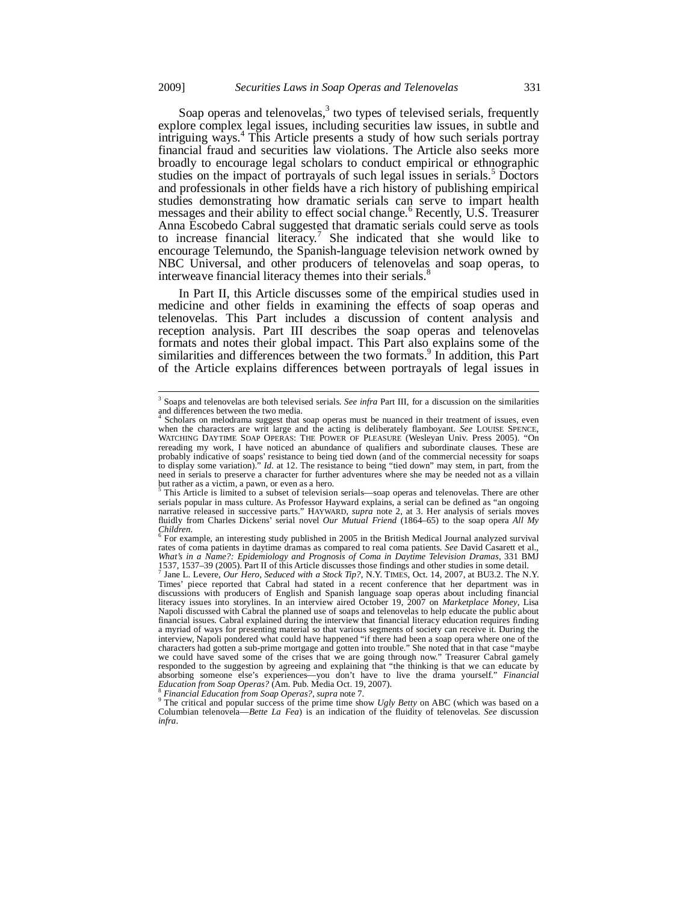Soap operas and telenovelas, $3$  two types of televised serials, frequently explore complex legal issues, including securities law issues, in subtle and intriguing ways.<sup>4</sup> This Article presents a study of how such serials portray financial fraud and securities law violations. The Article also seeks more broadly to encourage legal scholars to conduct empirical or ethnographic studies on the impact of portrayals of such legal issues in serials.<sup>5</sup> Doctors and professionals in other fields have a rich history of publishing empirical studies demonstrating how dramatic serials can serve to impart health messages and their ability to effect social change.<sup>6</sup> Recently, U.S. Treasurer Anna Escobedo Cabral suggested that dramatic serials could serve as tools to increase financial literacy.<sup>7</sup> She indicated that she would like to encourage Telemundo, the Spanish-language television network owned by NBC Universal, and other producers of telenovelas and soap operas, to interweave financial literacy themes into their serials.

In Part II, this Article discusses some of the empirical studies used in medicine and other fields in examining the effects of soap operas and telenovelas. This Part includes a discussion of content analysis and reception analysis. Part III describes the soap operas and telenovelas formats and notes their global impact. This Part also explains some of the similarities and differences between the two formats.<sup>9</sup> In addition, this Part of the Article explains differences between portrayals of legal issues in

 3 Soaps and telenovelas are both televised serials. *See infra* Part III, for a discussion on the similarities and differences between the two media.<br><sup>4</sup> Scholars on melodrama suggest that a

Scholars on melodrama suggest that soap operas must be nuanced in their treatment of issues, even when the characters are writ large and the acting is deliberately flamboyant. *See* LOUISE SPENCE, WATCHING DAYTIME SOAP OPERAS: THE POWER OF PLEASURE (Wesleyan Univ. Press 2005). "On rereading my work, I have noticed an abundance of qualifiers and subordinate clauses. These are probably indicative of soaps' resistance to being tied down (and of the commercial necessity for soaps to display some variation)." *Id.* at 12. The resistance to being "tied down" may stem, in part, from the need in serials to preserve a character for further adventures where she may be needed not as a villain but rather as a victim, a pawn, or even as a hero.<br><sup>5</sup> This Article is limited to a subset of television

This Article is limited to a subset of television serials—soap operas and telenovelas. There are other serials popular in mass culture. As Professor Hayward explains, a serial can be defined as "an ongoing narrative released in successive parts." HAYWARD, *supra* note 2, at 3. Her analysis of serials moves fluidly from Charles Dickens' serial novel *Our Mutual Friend* (1864–65) to the soap opera *All My Children*. 6

For example, an interesting study published in 2005 in the British Medical Journal analyzed survival rates of coma patients in daytime dramas as compared to real coma patients. *See* David Casarett et al., *What's in a Name?: Epidemiology and Prognosis of Coma in Daytime Television Dramas*, 331 BMJ 1537, 1537–39 (2005). Part II of this Article discusses those findings and other studies in some detail. 7 Jane L. Levere, *Our Hero, Seduced with a Stock Tip?*, N.Y. TIMES, Oct. 14, 2007, at BU3.2. The N.Y.

Times' piece reported that Cabral had stated in a recent conference that her department was in discussions with producers of English and Spanish language soap operas about including financial literacy issues into storylines. In an interview aired October 19, 2007 on *Marketplace Money*, Lisa Napoli discussed with Cabral the planned use of soaps and telenovelas to help educate the public about<br>financial issues. Cabral explained during the interview that financial literacy education requires finding<br>a myriad of interview, Napoli pondered what could have happened "if there had been a soap opera where one of the characters had gotten a sub-prime mortgage and gotten into trouble." She noted that in that case "maybe we could have saved some of the crises that we are going through now." Treasurer Cabral gamely responded to the suggestion by agreeing and explaining that "the thinking is that we can educate by absorbing someone else's experiences—you don't have to live the drama yourself." *Financial Education from Soap Operas?* (Am. Pub. Media Oct. 19, 2007). *Education from Soap Operas?* (Am. Pub. Media Oct. 19, 2007).<br><sup>8</sup> Financial Education from Soap Operas?, supra note 7.<br><sup>9</sup> The critical and popular success of the prime time show *Ugly Betty* on ABC (which was based on a

Columbian telenovela—*Bette La Fea*) is an indication of the fluidity of telenovelas. *See* discussion *infra*.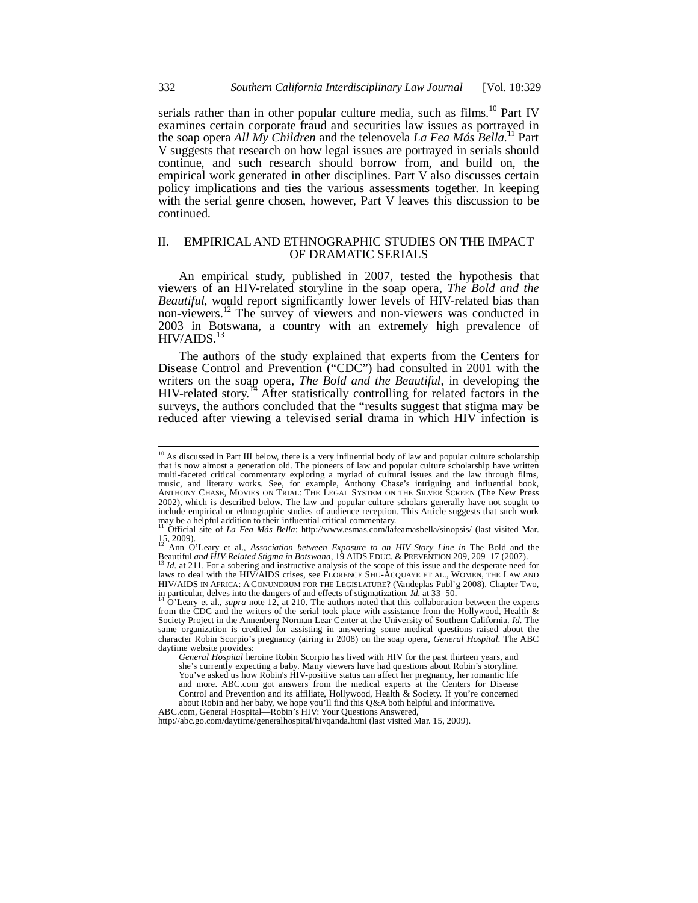serials rather than in other popular culture media, such as  $films<sup>10</sup>$  Part IV examines certain corporate fraud and securities law issues as portrayed in the soap opera *All My Children* and the telenovela *La Fea Más Bella.*11 Part V suggests that research on how legal issues are portrayed in serials should continue, and such research should borrow from, and build on, the empirical work generated in other disciplines. Part V also discusses certain policy implications and ties the various assessments together. In keeping with the serial genre chosen, however, Part V leaves this discussion to be continued.

### II. EMPIRICAL AND ETHNOGRAPHIC STUDIES ON THE IMPACT OF DRAMATIC SERIALS

An empirical study, published in 2007, tested the hypothesis that viewers of an HIV-related storyline in the soap opera, *The Bold and the Beautiful*, would report significantly lower levels of HIV-related bias than non-viewers.<sup>12</sup> The survey of viewers and non-viewers was conducted in 2003 in Botswana, a country with an extremely high prevalence of  $HIV/AIDS.<sup>13</sup>$ 

The authors of the study explained that experts from the Centers for Disease Control and Prevention ("CDC") had consulted in 2001 with the writers on the soap opera, *The Bold and the Beautiful*, in developing the HIV-related story.<sup>14</sup> After statistically controlling for related factors in the surveys, the authors concluded that the "results suggest that stigma may be reduced after viewing a televised serial drama in which HIV infection is

ABC.com, General Hospital—Robin's HIV: Your Questions Answered, http://abc.go.com/daytime/generalhospital/hivqanda.html (last visited Mar. 15, 2009).

<sup>&</sup>lt;sup>10</sup> As discussed in Part III below, there is a very influential body of law and popular culture scholarship that is now almost a generation old. The pioneers of law and popular culture scholarship have written multi-faceted critical commentary exploring a myriad of cultural issues and the law through films, music, and literary works. See, for example, Anthony Chase's intriguing and influential book, ANTHONY CHASE, MOVIES ON TRIAL: THE LEGAL SYSTEM ON THE SILVER SCREEN (The New Press 2002), which is described below. The law and popular culture scholars generally have not sought to include empirical or ethnographic studies of audience reception. This Article suggests that such work

may be a helpful addition to their influential critical commentary. 11 Official site of *La Fea Más Bella*: http://www.esmas.com/lafeamasbella/sinopsis/ (last visited Mar.  $15, 2009$ .

<sup>12</sup> Ann O'Leary et al., *Association between Exposure to an HIV Story Line in* The Bold and the Beautiful *and HIV-Related Stigma in Botswana*, 19 AIDS EDUC. & PREVENTION 209, 209–17 (2007). 13 *Id.* at 211. For a sobering and instructive analysis of the scope of this issue and the desperate need for

laws to deal with the HIV/AIDS crises, see FLORENCE SHU-ACQUAYE ET AL., WOMEN, THE LAW AND HIV/AIDS IN AFRICA: A CONUNDRUM FOR THE LEGISLATURE? (Vandeplas Publ'g 2008). Chapter Two, in particular, delves into the dangers of and effects of stigmatization. *Id.* at 33–50. 14 O'Leary et al., *supra* note 12, at 210. The authors noted that this collaboration between the experts

from the CDC and the writers of the serial took place with assistance from the Hollywood, Health & Society Project in the Annenberg Norman Lear Center at the University of Southern California. *Id.* The same organization is credited for assisting in answering some medical questions raised about the character Robin Scorpio's pregnancy (airing in 2008) on the soap opera, *General Hospital*. The ABC daytime website provides:

*General Hospital* heroine Robin Scorpio has lived with HIV for the past thirteen years, and she's currently expecting a baby. Many viewers have had questions about Robin's storyline. You've asked us how Robin's HIV-positive status can affect her pregnancy, her romantic life and more. ABC.com got answers from the medical experts at the Centers for Disease Control and Prevention and its affiliate, Hollywood, Health & Society. If you're concerned about Robin and her baby, we hope you'll find this Q&A both helpful and informative.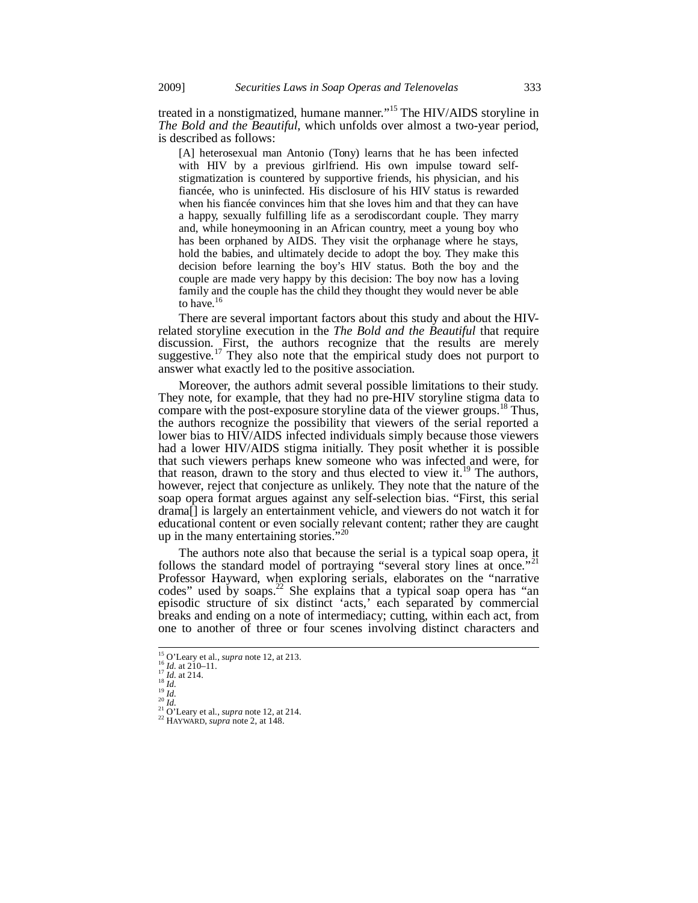treated in a nonstigmatized, humane manner."<sup>15</sup> The HIV/AIDS storyline in *The Bold and the Beautiful*, which unfolds over almost a two-year period, is described as follows:

[A] heterosexual man Antonio (Tony) learns that he has been infected with HIV by a previous girlfriend. His own impulse toward selfstigmatization is countered by supportive friends, his physician, and his fiancée, who is uninfected. His disclosure of his HIV status is rewarded when his fiancée convinces him that she loves him and that they can have a happy, sexually fulfilling life as a serodiscordant couple. They marry and, while honeymooning in an African country, meet a young boy who has been orphaned by AIDS. They visit the orphanage where he stays, hold the babies, and ultimately decide to adopt the boy. They make this decision before learning the boy's HIV status. Both the boy and the couple are made very happy by this decision: The boy now has a loving family and the couple has the child they thought they would never be able to have.<sup>16</sup>

There are several important factors about this study and about the HIVrelated storyline execution in the *The Bold and the Beautiful* that require discussion. First, the authors recognize that the results are merely suggestive.<sup>17</sup> They also note that the empirical study does not purport to answer what exactly led to the positive association.

Moreover, the authors admit several possible limitations to their study. They note, for example, that they had no pre-HIV storyline stigma data to compare with the post-exposure storyline data of the viewer groups.<sup>18</sup> Thus, the authors recognize the possibility that viewers of the serial reported a lower bias to HIV/AIDS infected individuals simply because those viewers had a lower HIV/AIDS stigma initially. They posit whether it is possible that such viewers perhaps knew someone who was infected and were, for that reason, drawn to the story and thus elected to view it.<sup>19</sup> The authors, however, reject that conjecture as unlikely. They note that the nature of the soap opera format argues against any self-selection bias. "First, this serial drama[] is largely an entertainment vehicle, and viewers do not watch it for educational content or even socially relevant content; rather they are caught up in the many entertaining stories."

The authors note also that because the serial is a typical soap opera, it follows the standard model of portraying "several story lines at once." Professor Hayward, when exploring serials, elaborates on the "narrative codes" used by soaps.<sup>22</sup> She explains that a typical soap opera has "an episodic structure of six distinct 'acts,' each separated by commercial breaks and ending on a note of intermediacy; cutting, within each act, from one to another of three or four scenes involving distinct characters and

 $^{15}$  O'Leary et al., *supra* note 12, at 213.

<sup>16</sup> *Id.* at 210-11.<br>
<sup>17</sup> *Id.* at 214.<br>
<sup>17</sup> *Id.* at 214.<br>
<sup>19</sup> *Id.*<br>
<sup>20</sup> *Id.*<br>
<sup>20</sup> *Id.*<br>
<sup>21</sup> *Id.*<br>
<sup>21</sup> *Id.*<br>
<sup>21</sup> *Id.*<br>
<sup>21</sup> *C*. Leary et al., *supra* note 12, at 214.<br>
<sup>22</sup> HAYWARD, *supra* note 2, at 148.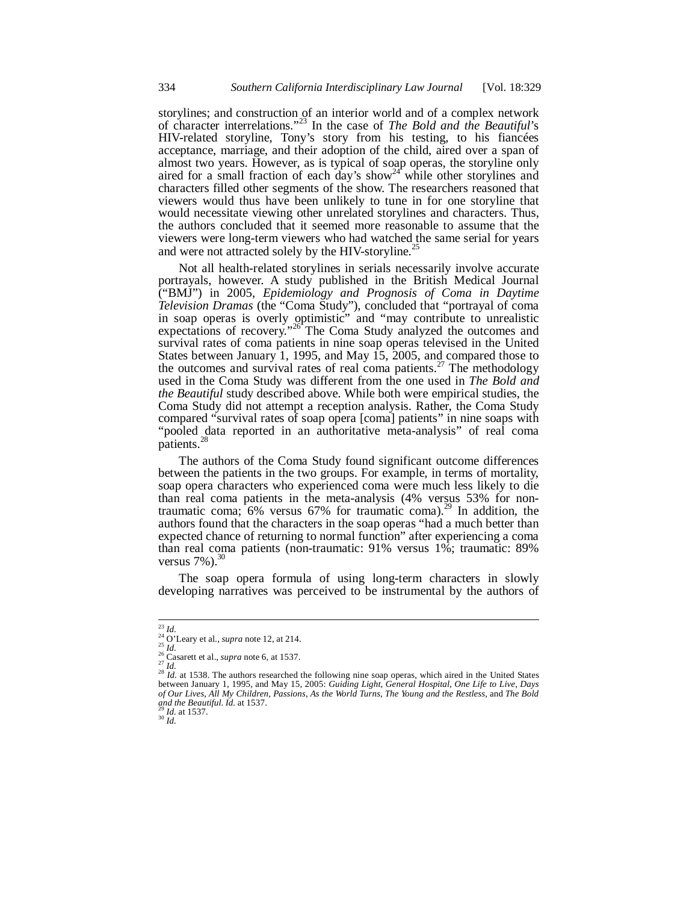storylines; and construction of an interior world and of a complex network of character interrelations."23 In the case of *The Bold and the Beautiful*'s HIV-related storyline, Tony's story from his testing, to his fiancées acceptance, marriage, and their adoption of the child, aired over a span of almost two years. However, as is typical of soap operas, the storyline only aired for a small fraction of each day's show<sup>24</sup> while other storylines and characters filled other segments of the show. The researchers reasoned that viewers would thus have been unlikely to tune in for one storyline that would necessitate viewing other unrelated storylines and characters. Thus, the authors concluded that it seemed more reasonable to assume that the viewers were long-term viewers who had watched the same serial for years and were not attracted solely by the HIV-storyline.<sup>25</sup>

Not all health-related storylines in serials necessarily involve accurate portrayals, however. A study published in the British Medical Journal ("BMJ") in 2005, *Epidemiology and Prognosis of Coma in Daytime Television Dramas* (the "Coma Study"), concluded that "portrayal of coma in soap operas is overly optimistic" and "may contribute to unrealistic expectations of recovery."<sup>26</sup> The Coma Study analyzed the outcomes and survival rates of coma patients in nine soap operas televised in the United States between January 1, 1995, and May 15, 2005, and compared those to the outcomes and survival rates of real coma patients.<sup>27</sup> The methodology used in the Coma Study was different from the one used in *The Bold and the Beautiful* study described above. While both were empirical studies, the Coma Study did not attempt a reception analysis. Rather, the Coma Study compared "survival rates of soap opera [coma] patients" in nine soaps with "pooled data reported in an authoritative meta-analysis" of real coma patients.<sup>2</sup>

The authors of the Coma Study found significant outcome differences between the patients in the two groups. For example, in terms of mortality, soap opera characters who experienced coma were much less likely to die than real coma patients in the meta-analysis (4% versus 53% for nontraumatic coma;  $6\%$  versus  $67\%$  for traumatic coma).<sup>29</sup> In addition, the authors found that the characters in the soap operas "had a much better than expected chance of returning to normal function" after experiencing a coma than real coma patients (non-traumatic: 91% versus 1%; traumatic: 89% versus  $7\%$ ).<sup>30</sup>

The soap opera formula of using long-term characters in slowly developing narratives was perceived to be instrumental by the authors of

 $^{23}\,Id.$ 

<sup>&</sup>lt;sup>24</sup> O'Leary et al., *supra* note 12, at 214.<br><sup>25</sup> *Id.*<br><sup>26</sup> Casarett et al., *supra* note 6, at 1537.<br><sup>27</sup> *Id.*<br><sup>28</sup> *Id.* at 1538. The authors researched the following nine soap operas, which aired in the United State between January 1, 1995, and May 15, 2005: *Guiding Light*, *General Hospital*, *One Life to Live*, *Days of Our Lives*, *All My Children*, *Passions*, *As the World Turns*, *The Young and the Restless*, and *The Bold and the Beautiful*. *Id.* at 1537. 29 *Id.* at 1537. 30 *Id.*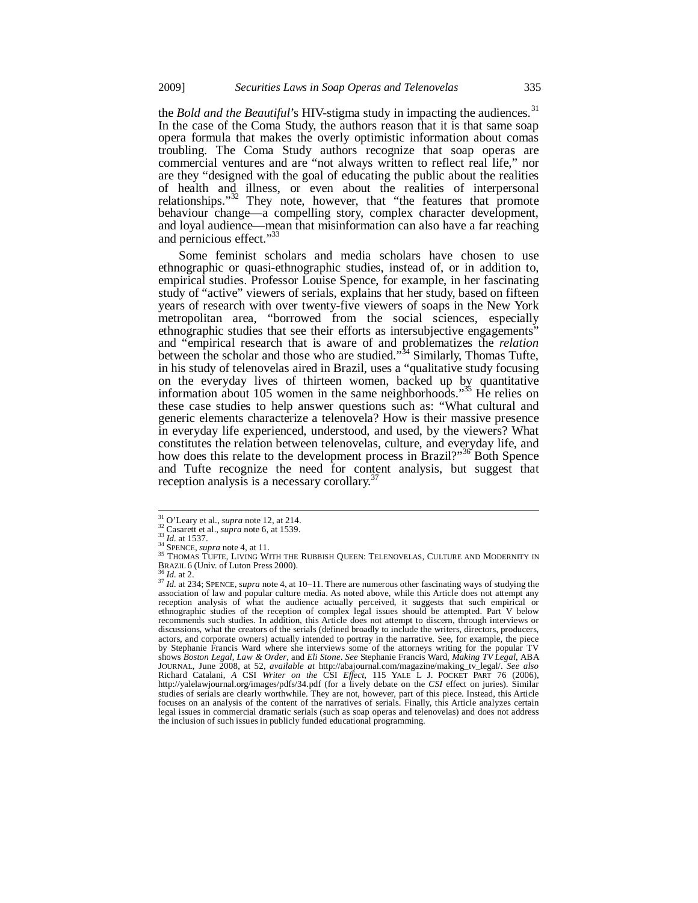the *Bold and the Beautiful*'s HIV-stigma study in impacting the audiences.<sup>31</sup> In the case of the Coma Study, the authors reason that it is that same soap opera formula that makes the overly optimistic information about comas troubling. The Coma Study authors recognize that soap operas are commercial ventures and are "not always written to reflect real life," nor are they "designed with the goal of educating the public about the realities of health and illness, or even about the realities of interpersonal relationships." $32$  They note, however, that "the features that promote behaviour change—a compelling story, complex character development, and loyal audience—mean that misinformation can also have a far reaching and pernicious effect."<sup>33</sup>

Some feminist scholars and media scholars have chosen to use ethnographic or quasi-ethnographic studies, instead of, or in addition to, empirical studies. Professor Louise Spence, for example, in her fascinating study of "active" viewers of serials, explains that her study, based on fifteen years of research with over twenty-five viewers of soaps in the New York metropolitan area, "borrowed from the social sciences, especially ethnographic studies that see their efforts as intersubjective engagements" and "empirical research that is aware of and problematizes the *relation* between the scholar and those who are studied."<sup>34</sup> Similarly, Thomas Tufte, in his study of telenovelas aired in Brazil, uses a "qualitative study focusing on the everyday lives of thirteen women, backed up by quantitative information about 105 women in the same neighborhoods."<sup>35</sup> He relies on these case studies to help answer questions such as: "What cultural and generic elements characterize a telenovela? How is their massive presence in everyday life experienced, understood, and used, by the viewers? What constitutes the relation between telenovelas, culture, and everyday life, and how does this relate to the development process in Brazil?"<sup>36</sup> Both Spence and Tufte recognize the need for content analysis, but suggest that reception analysis is a necessary corollary.<sup>3</sup>

<sup>&</sup>lt;sup>31</sup> O'Leary et al., *supra* note 12, at 214.

<sup>&</sup>lt;sup>32</sup> Cleary et al., *supra* note 12, at 21-7.<br>
<sup>32</sup> Casarett et al., *supra* note 6, at 1539.<br>
<sup>33</sup> Id. at 1537.<br>
<sup>34</sup> SPENCE, *supra* note 4, at 11.<br>
<sup>35</sup> THOMAS TUFTE, LIVING WITH THE RUBBISH QUEEN: TELENOVELAS, CULTURE

BRAZIL 6 (Univ. of Luton Press 2000). 36 *Id.* at 2. <sup>37</sup> *Id.* at 234; SPENCE, *supra* note 4, at 10–11. There are numerous other fascinating ways of studying the association of law and popular culture media. As noted above, while this Article does not attempt any reception analysis of what the audience actually perceived, it suggests that such empirical or ethnographic studies of the reception of complex legal issues should be attempted. Part V below recommends such studies. In addition, this Article does not attempt to discern, through interviews or discussions, what the creators of the serials (defined broadly to include the writers, directors, producers, actors, and corporate owners) actually intended to portray in the narrative. See, for example, the piece by Stephanie Francis Ward where she interviews some of the attorneys writing for the popular TV shows *Boston Legal*, *Law & Order*, and *Eli Stone*. *See* Stephanie Francis Ward, *Making TV Legal*, ABA JOURNAL, June 2008, at 52, *available at* http://abajournal.com/magazine/making\_tv\_legal/. See also<br>Richard Catalani, A CSI Writer on the CSI Effect, 115 YALE L J. POCKET PART 76 (2006),<br>http://yalelawjournal.org/images/pd studies of serials are clearly worthwhile. They are not, however, part of this piece. Instead, this Article focuses on an analysis of the content of the narratives of serials. Finally, this Article analyzes certain legal issues in commercial dramatic serials (such as soap operas and telenovelas) and does not address the inclusion of such issues in publicly funded educational programming.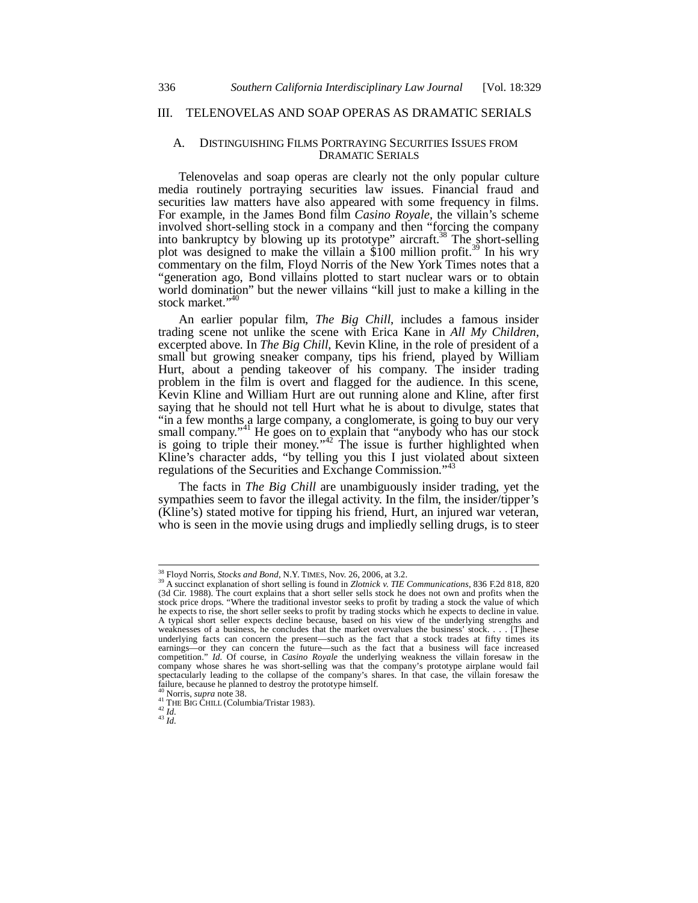# III. TELENOVELAS AND SOAP OPERAS AS DRAMATIC SERIALS

#### A. DISTINGUISHING FILMS PORTRAYING SECURITIES ISSUES FROM DRAMATIC SERIALS

Telenovelas and soap operas are clearly not the only popular culture media routinely portraying securities law issues. Financial fraud and securities law matters have also appeared with some frequency in films. For example, in the James Bond film *Casino Royale*, the villain's scheme involved short-selling stock in a company and then "forcing the company into bankruptcy by blowing up its prototype" aircraft.<sup>38</sup> The short-selling plot was designed to make the villain a \$100 million profit.<sup>39</sup> In his wry commentary on the film, Floyd Norris of the New York Times notes that a "generation ago, Bond villains plotted to start nuclear wars or to obtain world domination" but the newer villains "kill just to make a killing in the stock market."<sup>4</sup>

An earlier popular film, *The Big Chill*, includes a famous insider trading scene not unlike the scene with Erica Kane in *All My Children*, excerpted above. In *The Big Chill*, Kevin Kline, in the role of president of a small but growing sneaker company, tips his friend, played by William Hurt, about a pending takeover of his company. The insider trading problem in the film is overt and flagged for the audience. In this scene, Kevin Kline and William Hurt are out running alone and Kline, after first saying that he should not tell Hurt what he is about to divulge, states that "in a few months a large company, a conglomerate, is going to buy our very small company."<sup>41</sup> He goes on to explain that "anybody who has our stock is going to triple their money."<sup>42</sup> The issue is further highlighted when Kline's character adds, "by telling you this I just violated about sixteen regulations of the Securities and Exchange Commission."<sup>4</sup>

The facts in *The Big Chill* are unambiguously insider trading, yet the sympathies seem to favor the illegal activity. In the film, the insider/tipper's (Kline's) stated motive for tipping his friend, Hurt, an injured war veteran, who is seen in the movie using drugs and impliedly selling drugs, is to steer

<sup>&</sup>lt;sup>38</sup> Floyd Norris, *Stocks and Bond*, N.Y. TIMES, Nov. 26, 2006, at 3.2.

<sup>&</sup>lt;sup>39</sup> A succinct explanation of short selling is found in *Zlotnick v. TIE Communications*, 836 F.2d 818, 820 (3d Cir. 1988). The court explains that a short seller sells stock he does not own and profits when the stock price drops. "Where the traditional investor seeks to profit by trading a stock the value of which he expects to rise, the short seller seeks to profit by trading stocks which he expects to decline in value. A typical short seller expects decline because, based on his view of the underlying strengths and weaknesses of a business, he concludes that the market overvalues the business' stock. . . . [T]hese underlying facts can concern the present—such as the fact that a stock trades at fifty times its earnings—or they can concern the future—such as the fact that a business will face increased competition." *Id.* Of course, in *Casino Royale* the underlying weakness the villain foresaw in the company whose shares he was short-selling was that the company's prototype airplane would fail spectacularly leading to the collapse of the company's shares. In that case, the villain foresaw the failure, because he planned to destroy the prototype himself.

<sup>40</sup> Norris, *supra* note 38. 41 THE BIG CHILL (Columbia/Tristar 1983). 42 *Id.* <sup>43</sup> *Id.*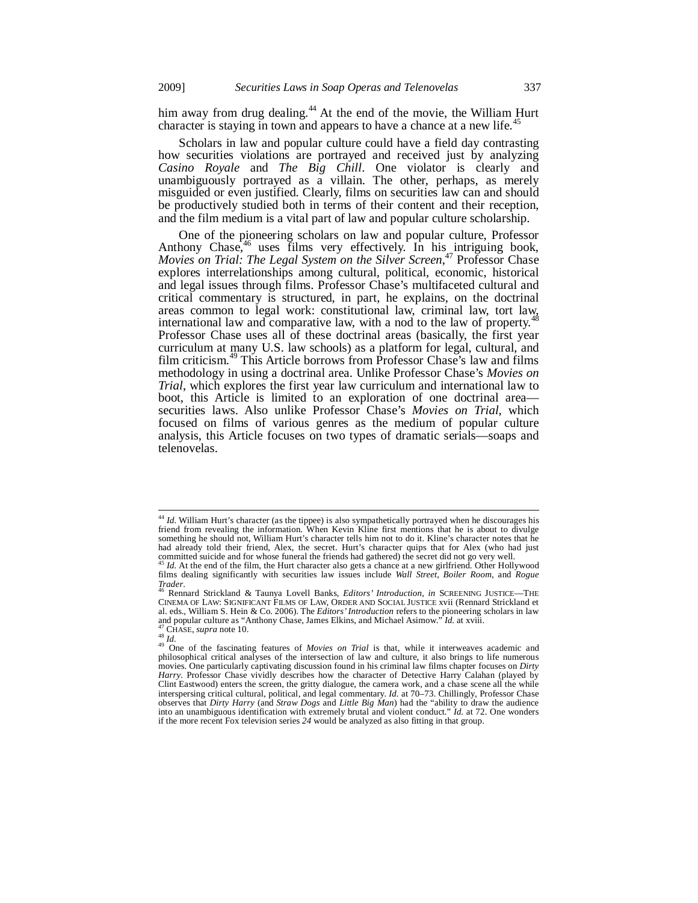him away from drug dealing.<sup>44</sup> At the end of the movie, the William Hurt character is staying in town and appears to have a chance at a new life.<sup>45</sup>

Scholars in law and popular culture could have a field day contrasting how securities violations are portrayed and received just by analyzing *Casino Royale* and *The Big Chill*. One violator is clearly and unambiguously portrayed as a villain. The other, perhaps, as merely misguided or even justified. Clearly, films on securities law can and should be productively studied both in terms of their content and their reception, and the film medium is a vital part of law and popular culture scholarship.

One of the pioneering scholars on law and popular culture, Professor Anthony Chase,<sup>46</sup> uses films very effectively. In his intriguing book, *Movies on Trial: The Legal System on the Silver Screen*, <sup>47</sup> Professor Chase explores interrelationships among cultural, political, economic, historical and legal issues through films. Professor Chase's multifaceted cultural and critical commentary is structured, in part, he explains, on the doctrinal areas common to legal work: constitutional law, criminal law, tort law, international law and comparative law, with a nod to the law of property.<sup>4</sup> Professor Chase uses all of these doctrinal areas (basically, the first year curriculum at many U.S. law schools) as a platform for legal, cultural, and film criticism.49 This Article borrows from Professor Chase's law and films methodology in using a doctrinal area. Unlike Professor Chase's *Movies on Trial*, which explores the first year law curriculum and international law to boot, this Article is limited to an exploration of one doctrinal area securities laws. Also unlike Professor Chase's *Movies on Trial*, which focused on films of various genres as the medium of popular culture analysis, this Article focuses on two types of dramatic serials—soaps and telenovelas.

 $\overline{\phantom{a}}$ 

<sup>&</sup>lt;sup>44</sup> *Id.* William Hurt's character (as the tippee) is also sympathetically portrayed when he discourages his friend from revealing the information. When Kevin Kline first mentions that he is about to divulge something he should not, William Hurt's character tells him not to do it. Kline's character notes that he had already told their friend, Alex, the secret. Hurt's character quips that for Alex (who had just committed suicide and for whose funeral the friends had gathered) the secret did not go very well.

Id. At the end of the film, the Hurt character also gets a chance at a new girlfriend. Other Hollywood films dealing significantly with securities law issues include *Wall Street*, *Boiler Room*, and *Rogue* 

*Trader*. 46 Rennard Strickland & Taunya Lovell Banks, *Editors' Introduction*, *in* SCREENING JUSTICE—THE CINEMA OF LAW: SIGNIFICANT FILMS OF LAW, ORDER AND SOCIAL JUSTICE xvii (Rennard Strickland et al. eds., William S. Hein & Co. 2006). The *Editors' Introduction* refers to the pioneering scholars in law and popular culture as "Anthony Chase, James Elkins, and Michael Asimow." *Id.* at xviii.

and popular culture as "Anthony Chase, James Elkins, and Michael Asimow." *Id.* at xviii.<br><sup>48</sup> CHASE, *supra* note 10.<br><sup>48</sup> *Id.*<br><sup>48</sup> One of the fascinating features of *Movies on Trial* is that, while it interweaves acad movies. One particularly captivating discussion found in his criminal law films chapter focuses on *Dirty*  Harry. Professor Chase vividly describes how the character of Detective Harry Calahan (played by Clint Eastwood) enters the screen, the gritty dialogue, the camera work, and a chase scene all the while interspersing critical cultural, political, and legal commentary. *Id.* at 70–73. Chillingly, Professor Chase observes that *Dirty Harry* (and *Straw Dogs* and *Little Big Man*) had the "ability to draw the audience into an unambiguous identification with extremely brutal and violent conduct." *Id.* at 72. One wonders if the more recent Fox television series *24* would be analyzed as also fitting in that group.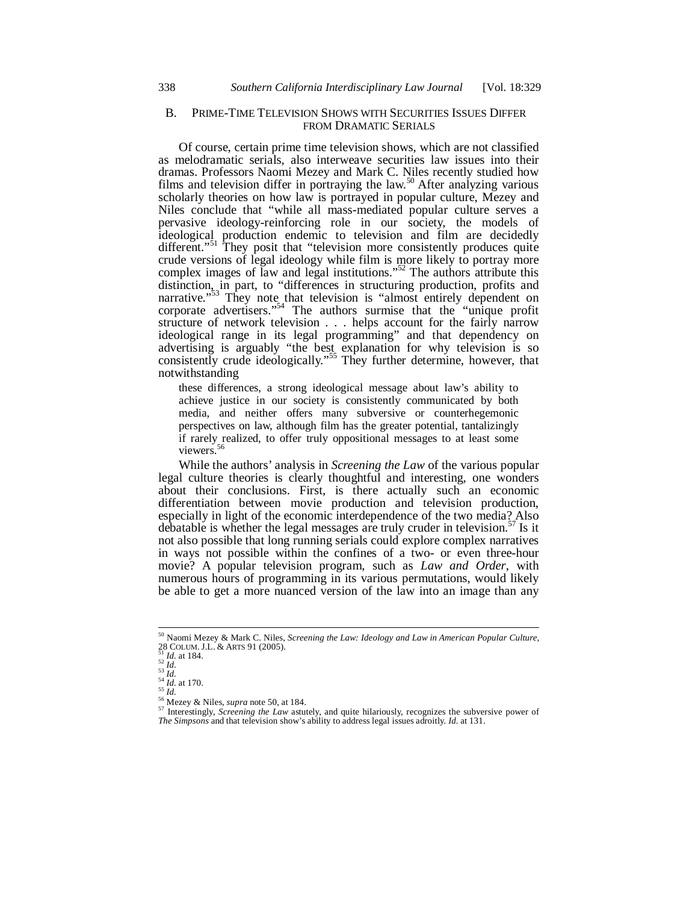## B. PRIME-TIME TELEVISION SHOWS WITH SECURITIES ISSUES DIFFER FROM DRAMATIC SERIALS

Of course, certain prime time television shows, which are not classified as melodramatic serials, also interweave securities law issues into their dramas. Professors Naomi Mezey and Mark C. Niles recently studied how films and television differ in portraying the law.<sup>50</sup> After analyzing various scholarly theories on how law is portrayed in popular culture, Mezey and Niles conclude that "while all mass-mediated popular culture serves a pervasive ideology-reinforcing role in our society, the models of ideological production endemic to television and film are decidedly different."<sup>51</sup> They posit that "television more consistently produces quite crude versions of legal ideology while film is more likely to portray more complex images of law and legal institutions."<sup>52</sup> The authors attribute this distinction, in part, to "differences in structuring production, profits and narrative."<sup>53</sup> They note that television is "almost entirely dependent on corporate advertisers."<sup>54</sup> The authors surmise that the "unique profit structure of network television . . . helps account for the fairly narrow ideological range in its legal programming" and that dependency on advertising is arguably "the best explanation for why television is so consistently crude ideologically."<sup>55</sup> They further determine, however, that notwithstanding

these differences, a strong ideological message about law's ability to achieve justice in our society is consistently communicated by both media, and neither offers many subversive or counterhegemonic perspectives on law, although film has the greater potential, tantalizingly if rarely realized, to offer truly oppositional messages to at least some viewers.<sup>56</sup>

While the authors' analysis in *Screening the Law* of the various popular legal culture theories is clearly thoughtful and interesting, one wonders about their conclusions. First, is there actually such an economic differentiation between movie production and television production, especially in light of the economic interdependence of the two media? Also debatable is whether the legal messages are truly cruder in television.<sup>57</sup> Is it not also possible that long running serials could explore complex narratives in ways not possible within the confines of a two- or even three-hour movie? A popular television program, such as *Law and Order*, with numerous hours of programming in its various permutations, would likely be able to get a more nuanced version of the law into an image than any

1

<sup>50</sup> Naomi Mezey & Mark C. Niles, *Screening the Law: Ideology and Law in American Popular Culture*, 28 COLUM. J.L. & ARTS 91 (2005).<br>
<sup>51</sup> *Id.* at 184.<br>
<sup>52</sup> *Id.*<br>
<sup>53</sup> *Id.*<br>
<sup>54</sup> *Id.*<br>
<sup>54</sup> *Id.*<br>
<sup>54</sup> *Id.*<br>
<sup>54</sup> *Id.*<br>
<sup>54</sup> *Id.*<br>
<sup>54</sup> *Id.*<br>
<sup>54</sup> *Id.*<br>
<sup>54</sup> *Id.*<br>
<sup>54</sup> *Id.*<br>
<sup>55</sup> *Id.*<br>
<sup>56</sup> Mezey & Niles, *su* 

*The Simpsons* and that television show's ability to address legal issues adroitly. *Id.* at 131.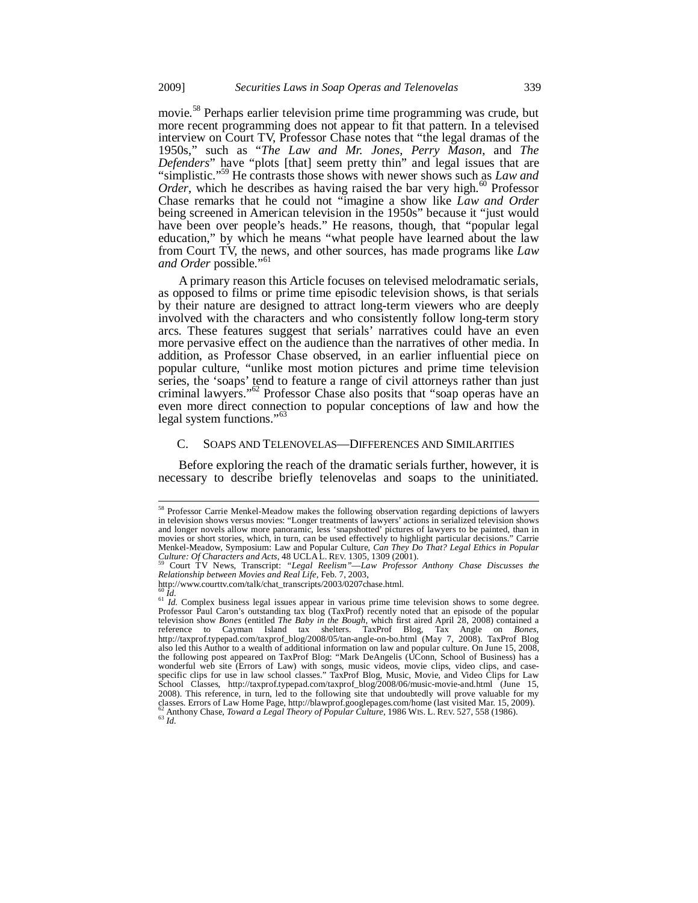movie.<sup>58</sup> Perhaps earlier television prime time programming was crude, but more recent programming does not appear to fit that pattern. In a televised interview on Court TV, Professor Chase notes that "the legal dramas of the 1950s," such as "*The Law and Mr. Jones*, *Perry Mason*, and *The Defenders*" have "plots [that] seem pretty thin" and legal issues that are "simplistic."59 He contrasts those shows with newer shows such as *Law and Order*, which he describes as having raised the bar very high.<sup>60</sup> Professor Chase remarks that he could not "imagine a show like *Law and Order* being screened in American television in the 1950s" because it "just would have been over people's heads." He reasons, though, that "popular legal education," by which he means "what people have learned about the law from Court TV, the news, and other sources, has made programs like *Law*  and Order possible."<sup>61</sup>

A primary reason this Article focuses on televised melodramatic serials, as opposed to films or prime time episodic television shows, is that serials by their nature are designed to attract long-term viewers who are deeply involved with the characters and who consistently follow long-term story arcs. These features suggest that serials' narratives could have an even more pervasive effect on the audience than the narratives of other media. In addition, as Professor Chase observed, in an earlier influential piece on popular culture, "unlike most motion pictures and prime time television series, the 'soaps' tend to feature a range of civil attorneys rather than just criminal lawyers."62 Professor Chase also posits that "soap operas have an even more direct connection to popular conceptions of law and how the legal system functions."<sup>63</sup>

## C. SOAPS AND TELENOVELAS—DIFFERENCES AND SIMILARITIES

Before exploring the reach of the dramatic serials further, however, it is necessary to describe briefly telenovelas and soaps to the uninitiated.

1

<sup>&</sup>lt;sup>58</sup> Professor Carrie Menkel-Meadow makes the following observation regarding depictions of lawyers in television shows versus movies: "Longer treatments of lawyers' actions in serialized television shows and longer novels allow more panoramic, less 'snapshotted' pictures of lawyers to be painted, than in movies or short stories, which, in turn, can be used effectively to highlight particular decisions." Carrie Menkel-Meadow, Symposium: Law and Popular Culture, *Can They Do That? Legal Ethics in Popular* 

Court TV News, Transcript: *"Legal Reelism"—Law Professor Anthony Chase Discusses the Relationship between Movies and Real Life*, Feb. 7, 2003,

http://www.courttv.com/talk/chat\_transcripts/2003/0207chase.html.<br><sup>60</sup> *Id.*<br><sup>61</sup> *Id.* Complex business legal issues appear in various prime time television shows to some degree. Professor Paul Caron's outstanding tax blog (TaxProf) recently noted that an episode of the popular television show *Bones* (entitled *The Baby in the Bough*, which first aired April 28, 2008) contained a reference to Cayman Island tax shelters. TaxProf Blog, Tax Angle on *Bones*, http://taxprof.typepad.com/taxprof\_blog/2008/05/tan-angle-on-bo.html (May 7, 2008). TaxProf Blog also led this Author to a wealth of additional information on law and popular culture. On June 15, 2008, the following post appeared on TaxProf Blog: "Mark DeAngelis (UConn, School of Business) has a wonderful web site (Errors of Law) with songs, music videos, movie clips, video clips, and case-<br>specific clips for use in law school classes." TaxProf Blog, Music, Movie, and Video Clips for Law<br>School Classes, http://tax 2008). This reference, in turn, led to the following site that undoubtedly will prove valuable for my classes. Errors of Law Home Page, http://blawprof.googlepages.com/home (last visited Mar. 15, 2009). <sup>62</sup> Anthony Chase, *Toward a Legal Theory of Popular Culture*, 1986 WIS. L. REV. 527, 558 (1986). <sup>63</sup> *Id.*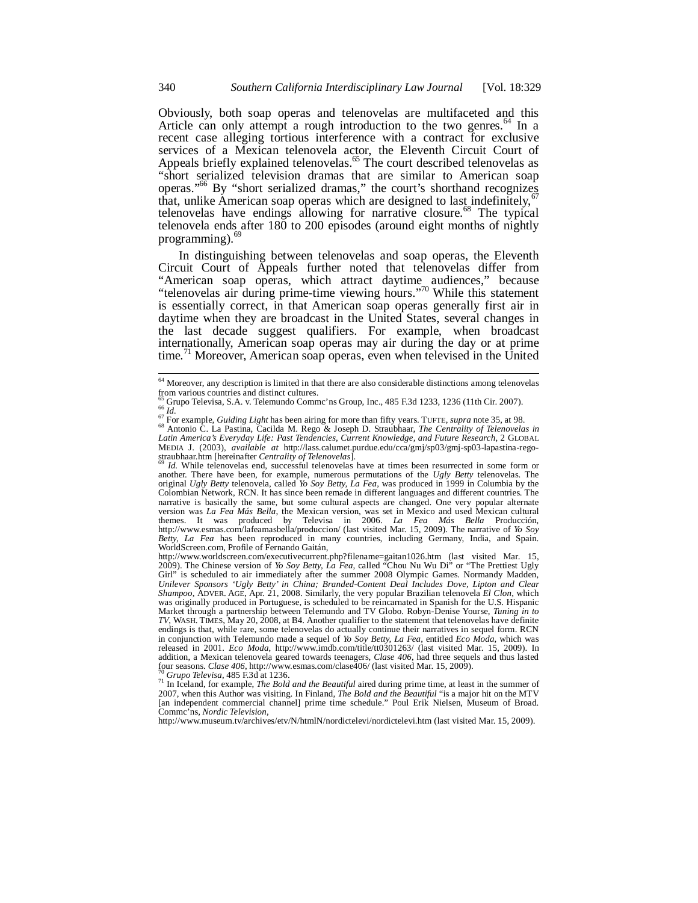Obviously, both soap operas and telenovelas are multifaceted and this Article can only attempt a rough introduction to the two genres. $64$  In a recent case alleging tortious interference with a contract for exclusive services of a Mexican telenovela actor, the Eleventh Circuit Court of Appeals briefly explained telenovelas.<sup>65</sup> The court described telenovelas as "short serialized television dramas that are similar to American soap operas."66 By "short serialized dramas," the court's shorthand recognizes that, unlike American soap operas which are designed to last indefinitely,<sup>6</sup> telenovelas have endings allowing for narrative closure.<sup>68</sup> The typical telenovela ends after 180 to 200 episodes (around eight months of nightly programming). $<sup>6</sup>$ </sup>

In distinguishing between telenovelas and soap operas, the Eleventh Circuit Court of Appeals further noted that telenovelas differ from "American soap operas, which attract daytime audiences," because "telenovelas air during prime-time viewing hours."70 While this statement is essentially correct, in that American soap operas generally first air in daytime when they are broadcast in the United States, several changes in the last decade suggest qualifiers. For example, when broadcast internationally, American soap operas may air during the day or at prime time.<sup>71</sup> Moreover, American soap operas, even when televised in the United

<sup>&</sup>lt;sup>64</sup> Moreover, any description is limited in that there are also considerable distinctions among telenovelas from various countries and distinct cultures.<br>
<sup>65</sup> Grupo Televisa, S.A. v. Telemundo Commc'ns Group, Inc., 485 F.3d 1233, 1236 (11th Cir. 2007).

<sup>&</sup>lt;sup>65</sup> Grupo Televisa, S.A. v. Telemundo Commc'ns Group, Inc., 485 F.3d 1233, 1236 (11th Cir. 2007).<br><sup>67</sup> Id.<br><sup>67</sup> For example, *Guiding Light* has been airing for more than fifty years. TUFTE, *supra* note 35, at 98.<br><sup>68</sup> A MEDIA J. (2003), *available at* http://lass.calumet.purdue.edu/cca/gmj/sp03/gmj-sp03-lapastina-rego-

Id. While telenovelas end, successful telenovelas have at times been resurrected in some form or another. There have been, for example, numerous permutations of the *Ugly Betty* telenovelas. The original *Ugly Betty* telenovela, called *Yo Soy Betty, La Fea*, was produced in 1999 in Columbia by the Colombian Network, RCN. It has since been remade in different languages and different countries. The narrative is basically the same, but some cultural aspects are changed. One very popular alternate<br>version was *La Fea Más Bella*, the Mexican version, was set in Mexico and used Mexican cultural<br>themes. It was produced by http://www.esmas.com/lafeamasbella/produccion/ (last visited Mar. 15, 2009). The narrative of *Yo Soy Betty, La Fea* has been reproduced in many countries, including Germany, India, and Spain. WorldScreen.com, Profile of Fernando Gaitán,

http://www.worldscreen.com/executivecurrent.php?filename=gaitan1026.htm (last visited Mar. 15, 2009). The Chinese version of *Yo Soy Betty, La Fea*, called "Chou Nu Wu Di" or "The Prettiest Ugly Girl" is scheduled to air immediately after the summer 2008 Olympic Games. Normandy Madden, *Unilever Sponsors 'Ugly Betty' in China; Branded-Content Deal Includes Dove, Lipton and Clear Shampoo*, ADVER. AGE, Apr. 21, 2008. Similarly, the very popular Brazilian telenovela *El Clon*, which was originally produced in Portuguese, is scheduled to be reincarnated in Spanish for the U.S. Hispanic Market through a partnership between Telemundo and TV Globo. Robyn-Denise Yourse, *Tuning in to TV*, WASH. TIMES, May 20, 2008, at B4. Another qualifier to the statement that telenovelas have definite endings is that, while rare, some telenovelas do actually continue their narratives in sequel form. RCN in conjunction with Telemundo made a sequel of *Yo Soy Betty, La Fea*, entitled *Eco Moda*, which was released in 2001. *Eco Moda*, http://www.imdb.com/title/tt0301263/ (last visited Mar. 15, 2009). In addition, a Mexican telenovela geared towards teenagers, *Clase 406*, had three sequels and thus lasted four seasons. *Clase 406*, http://www.esmas.com/clase406/ (last visited Mar. 15, 2009).

<sup>&</sup>lt;sup>70</sup> Grupo Televisa, 485 F.3d at 1236.<br><sup>71</sup> In Iceland, for example, *The Bold and the Beautiful* aired during prime time, at least in the summer of 2007, when this Author was visiting. In Finland, *The Bold and the Beautiful* "is a major hit on the MTV [an independent commercial channel] prime time schedule." Poul Erik Nielsen, Museum of Broad. Commc'ns, *Nordic Television*,

http://www.museum.tv/archives/etv/N/htmlN/nordictelevi/nordictelevi.htm (last visited Mar. 15, 2009).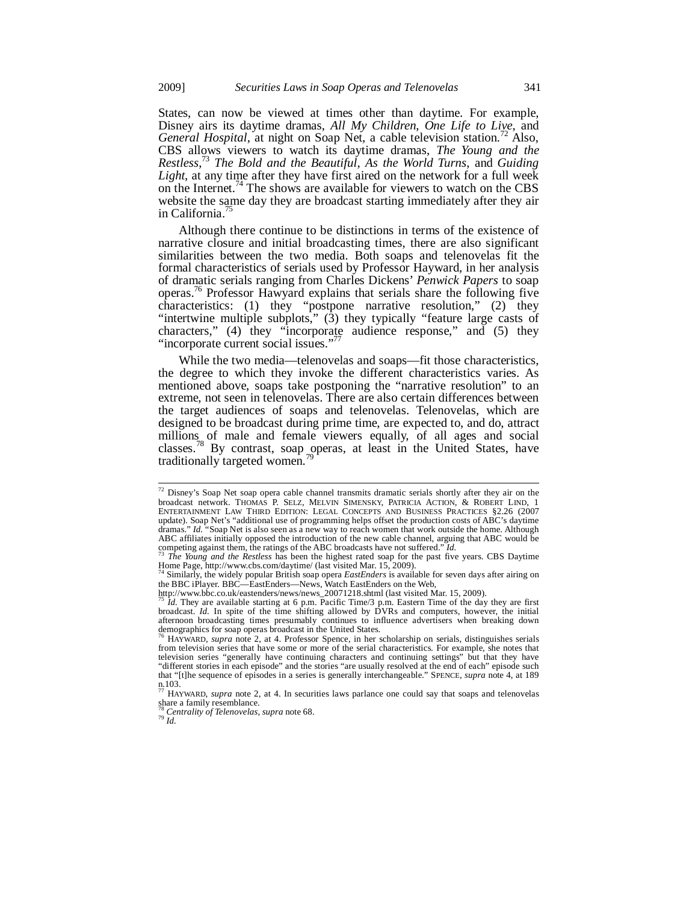States, can now be viewed at times other than daytime. For example, Disney airs its daytime dramas, *All My Children*, *One Life to Live*, and *General Hospital*, at night on Soap Net, a cable television station.<sup>72</sup> Also, CBS allows viewers to watch its daytime dramas, *The Young and the Restless*, <sup>73</sup> *The Bold and the Beautiful*, *As the World Turns*, and *Guiding Light*, at any time after they have first aired on the network for a full week on the Internet.<sup>74</sup> The shows are available for viewers to watch on the CBS website the same day they are broadcast starting immediately after they air in California.<sup>7</sup>

Although there continue to be distinctions in terms of the existence of narrative closure and initial broadcasting times, there are also significant similarities between the two media. Both soaps and telenovelas fit the formal characteristics of serials used by Professor Hayward, in her analysis of dramatic serials ranging from Charles Dickens' *Penwick Papers* to soap operas.76 Professor Hawyard explains that serials share the following five characteristics: (1) they "postpone narrative resolution," (2) they "intertwine multiple subplots," (3) they typically "feature large casts of characters," (4) they "incorporate audience response," and (5) they "incorporate current social issues."<sup>77</sup>

While the two media—telenovelas and soaps—fit those characteristics, the degree to which they invoke the different characteristics varies. As mentioned above, soaps take postponing the "narrative resolution" to an extreme, not seen in telenovelas. There are also certain differences between the target audiences of soaps and telenovelas. Telenovelas, which are designed to be broadcast during prime time, are expected to, and do, attract millions of male and female viewers equally, of all ages and social classes.<sup>78</sup> By contrast, soap operas, at least in the United States, have traditionally targeted women.<sup>7</sup>

 $72$  Disney's Soap Net soap opera cable channel transmits dramatic serials shortly after they air on the broadcast network. THOMAS P. SELZ, MELVIN SIMENSKY, PATRICIA ACTION, & ROBERT LIND, 1 ENTERTAINMENT LAW THIRD EDITION: LEGAL CONCEPTS AND BUSINESS PRACTICES §2.26 (2007 update). Soap Net's "additional use of programming helps offset the production costs of ABC's daytime dramas." *Id.* "Soap Net is also seen as a new way to reach women that work outside the home. Although ABC affiliates initially opposed the introduction of the new cable channel, arguing that ABC would be competing against them, the ratings of the ABC broadcasts have not suffered." *Id.* 

The Young and the Restless has been the highest rated soap for the past five years. CBS Daytime Home Page, http://www.cbs.com/daytime/ (last visited Mar. 15, 2009).

<sup>&</sup>lt;sup>4</sup> Similarly, the widely popular British soap opera *EastEnders* is available for seven days after airing on the BBC iPlayer. BBC—EastEnders—News, Watch EastEnders on the Web, http://www.bbc.co.uk/eastenders/news/news\_20071218.shtml (last visited Mar. 15, 2009).

*Id.* They are available starting at 6 p.m. Pacific Time/3 p.m. Eastern Time of the day they are first broadcast. *Id.* In spite of the time shifting allowed by DVRs and computers, however, the initial afternoon broadcasting times presumably continues to influence advertisers when breaking down demographics for soap operas broadcast in the United States.

<sup>&</sup>lt;sup>76</sup> HAYWARD, *supra* note 2, at 4. Professor Spence, in her scholarship on serials, distinguishes serials from television series that have some or more of the serial characteristics. For example, she notes that television series "generally have continuing characters and continuing settings" but that they have "different stories in each episode" and the stories "are usually resolved at the end of each" episode such that "[t]he sequence of episodes in a series is generally interchangeable." SPENCE, *supra* note 4, at 189  $n.103$ .

HAYWARD, *supra* note 2, at 4. In securities laws parlance one could say that soaps and telenovelas share a family resemblance.

<sup>78</sup> *Centrality of Telenovelas*, *supra* note 68. 79 *Id.*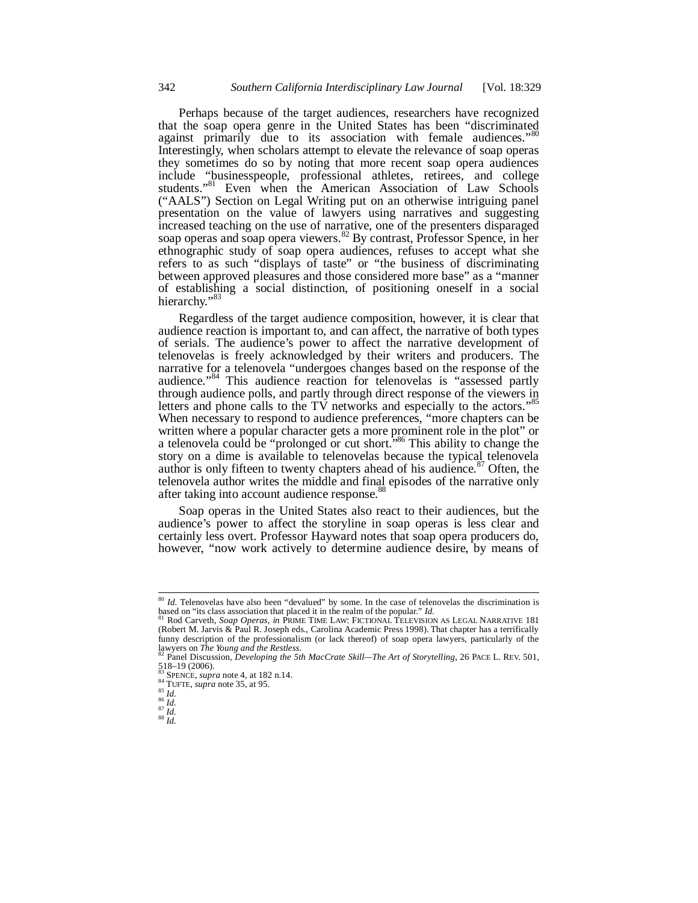Perhaps because of the target audiences, researchers have recognized that the soap opera genre in the United States has been "discriminated against primarily due to its association with female audiences." Interestingly, when scholars attempt to elevate the relevance of soap operas they sometimes do so by noting that more recent soap opera audiences include "businesspeople, professional athletes, retirees, and college students."<sup>81</sup> Even when the American Association of Law Schools ("AALS") Section on Legal Writing put on an otherwise intriguing panel presentation on the value of lawyers using narratives and suggesting increased teaching on the use of narrative, one of the presenters disparaged soap operas and soap opera viewers.<sup>82</sup> By contrast, Professor Spence, in her ethnographic study of soap opera audiences, refuses to accept what she refers to as such "displays of taste" or "the business of discriminating between approved pleasures and those considered more base" as a "manner of establishing a social distinction, of positioning oneself in a social hierarchy."<sup>83</sup>

Regardless of the target audience composition, however, it is clear that audience reaction is important to, and can affect, the narrative of both types of serials. The audience's power to affect the narrative development of telenovelas is freely acknowledged by their writers and producers. The narrative for a telenovela "undergoes changes based on the response of the audience."<sup>84</sup> This audience reaction for telenovelas is "assessed partly through audience polls, and partly through direct response of the viewers in letters and phone calls to the TV networks and especially to the actors."<sup>85</sup> When necessary to respond to audience preferences, "more chapters can be written where a popular character gets a more prominent role in the plot" or a telenovela could be "prolonged or cut short."86 This ability to change the story on a dime is available to telenovelas because the typical telenovela author is only fifteen to twenty chapters ahead of his audience. $87$  Often, the telenovela author writes the middle and final episodes of the narrative only after taking into account audience response.<sup>8</sup>

Soap operas in the United States also react to their audiences, but the audience's power to affect the storyline in soap operas is less clear and certainly less overt. Professor Hayward notes that soap opera producers do, however, "now work actively to determine audience desire, by means of

<sup>&</sup>lt;sup>80</sup> *Id.* Telenovelas have also been "devalued" by some. In the case of telenovelas the discrimination is based on "its class association that placed it in the realm of the popular." *Id.* 81 Rod Carveth, *Soap Operas*, *in PRIME TIME LAW: FICTIONAL TELEVISION AS LEGAL NARRATIVE 181* 

<sup>(</sup>Robert M. Jarvis & Paul R. Joseph eds., Carolina Academic Press 1998). That chapter has a terrifically funny description of the professionalism (or lack thereof) of soap opera lawyers, particularly of the lawyers on The Young and the Restless.<br>lawyers on The Young and the Restless.<br><sup>82</sup> Panel Discussion, Developing the 5th

 $518-19$  (2006).<br><sup>83</sup> SPENCE, *supra* note 4, at 182 n.14.

<sup>84</sup> SPENCE, *suppra* note 35, at 95.<br>
85 *Id.*<br>
86 *Id.*<br>
87 *Id.* 88 *Id.*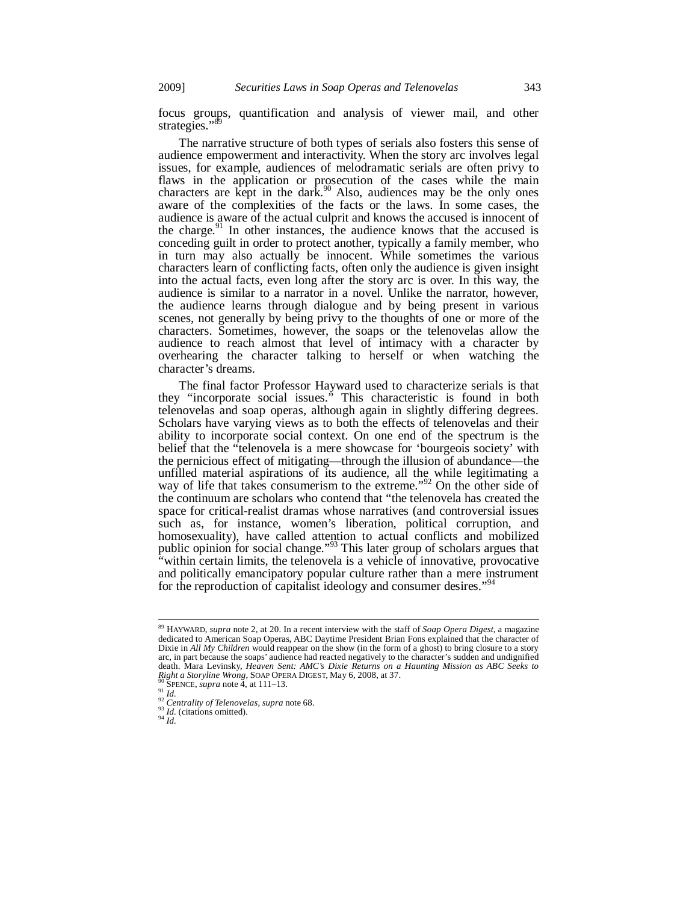focus groups, quantification and analysis of viewer mail, and other strategies."<sup>8</sup>

The narrative structure of both types of serials also fosters this sense of audience empowerment and interactivity. When the story arc involves legal issues, for example, audiences of melodramatic serials are often privy to flaws in the application or prosecution of the cases while the main characters are kept in the dark.<sup>90</sup> Also, audiences may be the only ones aware of the complexities of the facts or the laws. In some cases, the audience is aware of the actual culprit and knows the accused is innocent of the charge. $91$  In other instances, the audience knows that the accused is conceding guilt in order to protect another, typically a family member, who in turn may also actually be innocent. While sometimes the various characters learn of conflicting facts, often only the audience is given insight into the actual facts, even long after the story arc is over. In this way, the audience is similar to a narrator in a novel. Unlike the narrator, however, the audience learns through dialogue and by being present in various scenes, not generally by being privy to the thoughts of one or more of the characters. Sometimes, however, the soaps or the telenovelas allow the audience to reach almost that level of intimacy with a character by overhearing the character talking to herself or when watching the character's dreams.

The final factor Professor Hayward used to characterize serials is that they "incorporate social issues." This characteristic is found in both telenovelas and soap operas, although again in slightly differing degrees. Scholars have varying views as to both the effects of telenovelas and their ability to incorporate social context. On one end of the spectrum is the belief that the "telenovela is a mere showcase for 'bourgeois society' with the pernicious effect of mitigating—through the illusion of abundance—the unfilled material aspirations of its audience, all the while legitimating a way of life that takes consumerism to the extreme.<sup>"92</sup> On the other side of the continuum are scholars who contend that "the telenovela has created the space for critical-realist dramas whose narratives (and controversial issues such as, for instance, women's liberation, political corruption, and homosexuality), have called attention to actual conflicts and mobilized public opinion for social change."<sup>93</sup> This later group of scholars argues that "within certain limits, the telenovela is a vehicle of innovative, provocative and politically emancipatory popular culture rather than a mere instrument for the reproduction of capitalist ideology and consumer desires."<sup>94</sup>

<sup>89</sup> HAYWARD, *supra* note 2, at 20. In a recent interview with the staff of *Soap Opera Digest*, a magazine dedicated to American Soap Operas, ABC Daytime President Brian Fons explained that the character of Dixie in *All My Children* would reappear on the show (in the form of a ghost) to bring closure to a story arc, in part because the soaps' audience had reacted negatively to the character's sudden and undignified death. Mara Levinsky, *Heaven Sent: AMC's Dixie Returns on a Haunting Mission as ABC Seeks to Right a Storyline Wrong*, SOAP OPERA DIGEST, May 6, 2008, at 37.

<sup>&</sup>lt;sup>90</sup> SPENCE, *supra* note  $\bar{A}$ , at 111–13.<br><sup>92</sup> *Id.*<br><sup>92</sup> Centrality of Telenovelas, *supra* note 68.<br><sup>92</sup> *Id.* (citations omitted).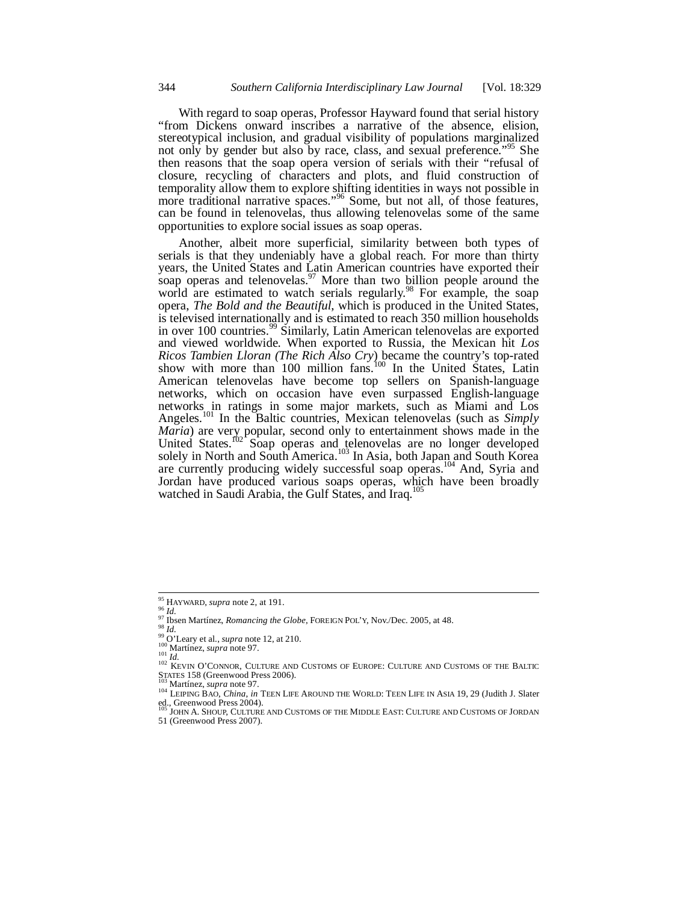With regard to soap operas, Professor Hayward found that serial history "from Dickens onward inscribes a narrative of the absence, elision, stereotypical inclusion, and gradual visibility of populations marginalized not only by gender but also by race, class, and sexual preference."<sup>95</sup> She then reasons that the soap opera version of serials with their "refusal of closure, recycling of characters and plots, and fluid construction of temporality allow them to explore shifting identities in ways not possible in more traditional narrative spaces."<sup>96</sup> Some, but not all, of those features, can be found in telenovelas, thus allowing telenovelas some of the same opportunities to explore social issues as soap operas.

Another, albeit more superficial, similarity between both types of serials is that they undeniably have a global reach. For more than thirty years, the United States and Latin American countries have exported their soap operas and telenovelas.  $97$  More than two billion people around the world are estimated to watch serials regularly.<sup>98</sup> For example, the soap opera, *The Bold and the Beautiful*, which is produced in the United States, is televised internationally and is estimated to reach 350 million households in over 100 countries.<sup>99</sup> Similarly, Latin American telenovelas are exported and viewed worldwide. When exported to Russia, the Mexican hit *Los Ricos Tambien Lloran (The Rich Also Cry*) became the country's top-rated show with more than 100 million fans.<sup>100</sup> In the United States, Latin American telenovelas have become top sellers on Spanish-language networks, which on occasion have even surpassed English-language networks in ratings in some major markets, such as Miami and Los Angeles.101 In the Baltic countries, Mexican telenovelas (such as *Simply Maria*) are very popular, second only to entertainment shows made in the United States.<sup>102</sup> Soap operas and telenovelas are no longer developed solely in North and South America.<sup>103</sup> In Asia, both Japan and South Korea are currently producing widely successful soap operas.<sup>104</sup> And, Syria and Jordan have produced various soaps operas, which have been broadly watched in Saudi Arabia, the Gulf States, and Iraq.105

<sup>&</sup>lt;sup>95</sup> HAYWARD, *supra* note 2, at 191.

<sup>&</sup>lt;sup>97</sup> HAYWARD, *supra* note 2, at 121.<br>
97 H.<br>
97 Ibsen Martínez, *Romancing the Globe*, FOREIGN POL'Y, Nov./Dec. 2005, at 48.<br>
98 Id.<br>
99 O'Leary et al., *supra* note 12, at 210.<br>
101 Martínez, *supra* note 97.<br>
102 KEVIN

STATES 158 (Greenwood Press 2006).<br><sup>103</sup> Martínez, *supra* note 97.<br><sup>104</sup> LEIPING BAO, *China, in* TEEN LIFE AROUND THE WORLD: TEEN LIFE IN ASIA 19, 29 (Judith J. Slater ed., Greenwood Press 2004).<br><sup>105</sup> JOHN A. SHOUP, CULTURE AND CUSTOMS OF THE MIDDLE EAST: CULTURE AND CUSTOMS OF JORDAN

<sup>51 (</sup>Greenwood Press 2007).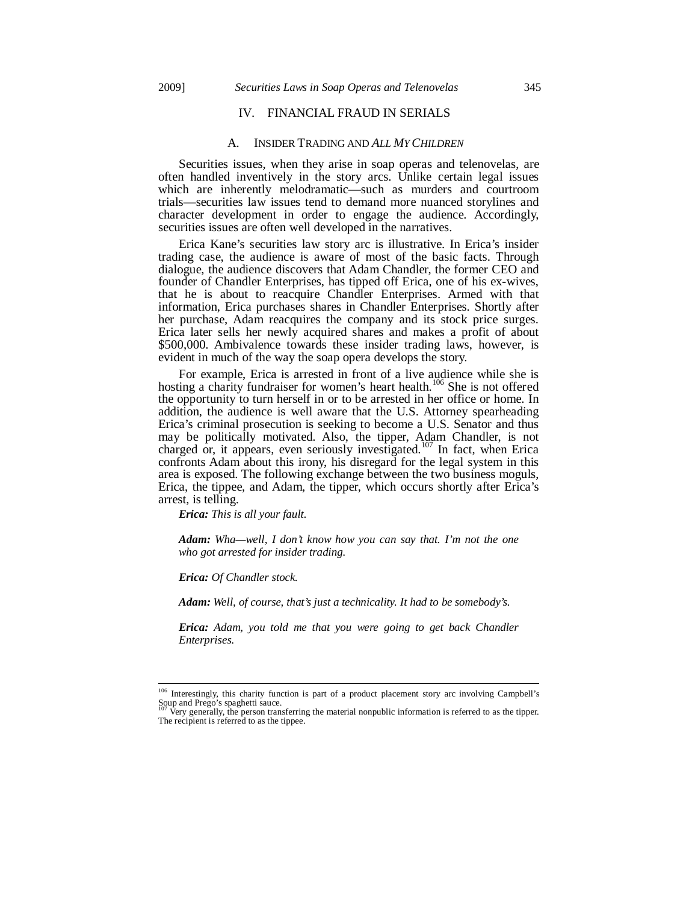# IV. FINANCIAL FRAUD IN SERIALS

#### A. INSIDER TRADING AND *ALL MY CHILDREN*

Securities issues, when they arise in soap operas and telenovelas, are often handled inventively in the story arcs. Unlike certain legal issues which are inherently melodramatic—such as murders and courtroom trials—securities law issues tend to demand more nuanced storylines and character development in order to engage the audience. Accordingly, securities issues are often well developed in the narratives.

Erica Kane's securities law story arc is illustrative. In Erica's insider trading case, the audience is aware of most of the basic facts. Through dialogue, the audience discovers that Adam Chandler, the former CEO and founder of Chandler Enterprises, has tipped off Erica, one of his ex-wives, that he is about to reacquire Chandler Enterprises. Armed with that information, Erica purchases shares in Chandler Enterprises. Shortly after her purchase, Adam reacquires the company and its stock price surges. Erica later sells her newly acquired shares and makes a profit of about \$500,000. Ambivalence towards these insider trading laws, however, is evident in much of the way the soap opera develops the story.

For example, Erica is arrested in front of a live audience while she is hosting a charity fundraiser for women's heart health.<sup>106</sup> She is not offered the opportunity to turn herself in or to be arrested in her office or home. In addition, the audience is well aware that the U.S. Attorney spearheading Erica's criminal prosecution is seeking to become a U.S. Senator and thus may be politically motivated. Also, the tipper, Adam Chandler, is not charged or, it appears, even seriously investigated.<sup>107</sup> In fact, when Erica confronts Adam about this irony, his disregard for the legal system in this area is exposed. The following exchange between the two business moguls, Erica, the tippee, and Adam, the tipper, which occurs shortly after Erica's arrest, is telling.

*Erica: This is all your fault.* 

*Adam: Wha—well, I don't know how you can say that. I'm not the one who got arrested for insider trading.* 

*Erica: Of Chandler stock.* 

j

*Adam: Well, of course, that's just a technicality. It had to be somebody's.* 

*Erica: Adam, you told me that you were going to get back Chandler Enterprises.* 

<sup>106</sup> Interestingly, this charity function is part of a product placement story arc involving Campbell's Soup and Prego's spaghetti sauce.<br><sup>107</sup> Very generally, the person transferring the material nonpublic information is referred to as the tipper.

The recipient is referred to as the tippee.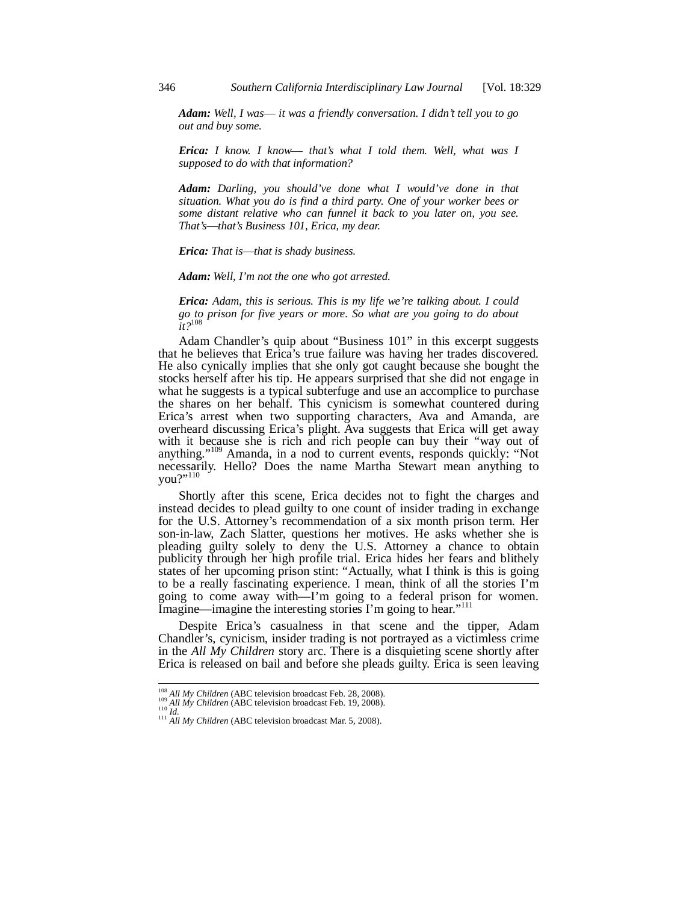*Adam: Well, I was*— *it was a friendly conversation. I didn't tell you to go out and buy some.* 

*Erica: I know. I know*— *that's what I told them. Well, what was I supposed to do with that information?* 

*Adam: Darling, you should've done what I would've done in that situation. What you do is find a third party. One of your worker bees or some distant relative who can funnel it back to you later on, you see. That's*—*that's Business 101, Erica, my dear.* 

*Erica: That is*—*that is shady business.* 

*Adam: Well, I'm not the one who got arrested.* 

*Erica: Adam, this is serious. This is my life we're talking about. I could go to prison for five years or more. So what are you going to do about it?*<sup>108</sup>

Adam Chandler's quip about "Business 101" in this excerpt suggests that he believes that Erica's true failure was having her trades discovered. He also cynically implies that she only got caught because she bought the stocks herself after his tip. He appears surprised that she did not engage in what he suggests is a typical subterfuge and use an accomplice to purchase the shares on her behalf. This cynicism is somewhat countered during Erica's arrest when two supporting characters, Ava and Amanda, are overheard discussing Erica's plight. Ava suggests that Erica will get away with it because she is rich and rich people can buy their "way out of anything."109 Amanda, in a nod to current events, responds quickly: "Not necessarily. Hello? Does the name Martha Stewart mean anything to you?"110

Shortly after this scene, Erica decides not to fight the charges and instead decides to plead guilty to one count of insider trading in exchange for the U.S. Attorney's recommendation of a six month prison term. Her son-in-law, Zach Slatter, questions her motives. He asks whether she is pleading guilty solely to deny the U.S. Attorney a chance to obtain publicity through her high profile trial. Erica hides her fears and blithely states of her upcoming prison stint: "Actually, what I think is this is going to be a really fascinating experience. I mean, think of all the stories I'm going to come away with—I'm going to a federal prison for women. Imagine—imagine the interesting stories I'm going to hear."<sup>111</sup>

Despite Erica's casualness in that scene and the tipper, Adam Chandler's, cynicism, insider trading is not portrayed as a victimless crime in the *All My Children* story arc. There is a disquieting scene shortly after Erica is released on bail and before she pleads guilty. Erica is seen leaving

<sup>&</sup>lt;sup>108</sup> *All My Children* (ABC television broadcast Feb. 28, 2008).<br><sup>109</sup> *All My Children* (ABC television broadcast Feb. 19, 2008).<br><sup>111</sup> *All My Children* (ABC television broadcast Mar. 5, 2008).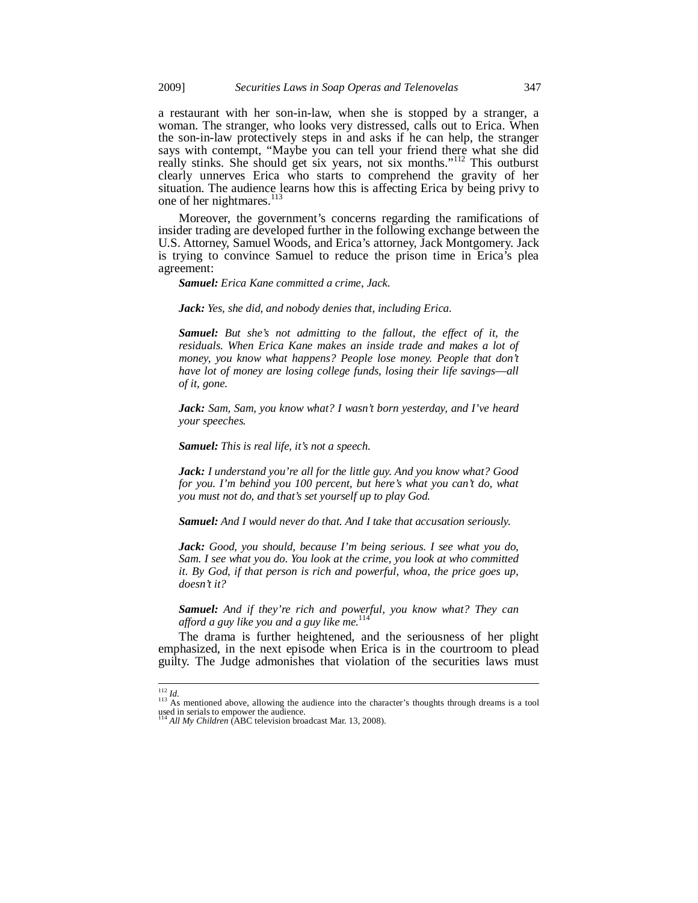a restaurant with her son-in-law, when she is stopped by a stranger, a woman. The stranger, who looks very distressed, calls out to Erica. When the son-in-law protectively steps in and asks if he can help, the stranger says with contempt, "Maybe you can tell your friend there what she did really stinks. She should get six years, not six months."<sup>112</sup> This outburst clearly unnerves Erica who starts to comprehend the gravity of her situation. The audience learns how this is affecting Erica by being privy to one of her nightmares.<sup>113</sup>

Moreover, the government's concerns regarding the ramifications of insider trading are developed further in the following exchange between the U.S. Attorney, Samuel Woods, and Erica's attorney, Jack Montgomery. Jack is trying to convince Samuel to reduce the prison time in Erica's plea agreement:

*Samuel: Erica Kane committed a crime, Jack.* 

*Jack: Yes, she did, and nobody denies that, including Erica.* 

*Samuel: But she's not admitting to the fallout, the effect of it, the*  residuals. When Erica Kane makes an inside trade and makes a lot of *money, you know what happens? People lose money. People that don't have lot of money are losing college funds, losing their life savings*—*all of it, gone.* 

*Jack: Sam, Sam, you know what? I wasn't born yesterday, and I've heard your speeches.* 

*Samuel: This is real life, it's not a speech.* 

*Jack: I understand you're all for the little guy. And you know what? Good for you. I'm behind you 100 percent, but here's what you can't do, what you must not do, and that's set yourself up to play God.* 

*Samuel: And I would never do that. And I take that accusation seriously.* 

*Jack: Good, you should, because I'm being serious. I see what you do, Sam. I see what you do. You look at the crime, you look at who committed it. By God, if that person is rich and powerful, whoa, the price goes up, doesn't it?* 

*Samuel: And if they're rich and powerful, you know what? They can afford a guy like you and a guy like me.*<sup>114</sup>

The drama is further heightened, and the seriousness of her plight emphasized, in the next episode when Erica is in the courtroom to plead guilty. The Judge admonishes that violation of the securities laws must

j

<sup>&</sup>lt;sup>112</sup> *Id.*<br><sup>113</sup> As mentioned above, allowing the audience into the character's thoughts through dreams is a tool<br>used in serials to empower the audience.<br><sup>114</sup> *All My Children* (ABC television broadcast Mar. 13, 2008).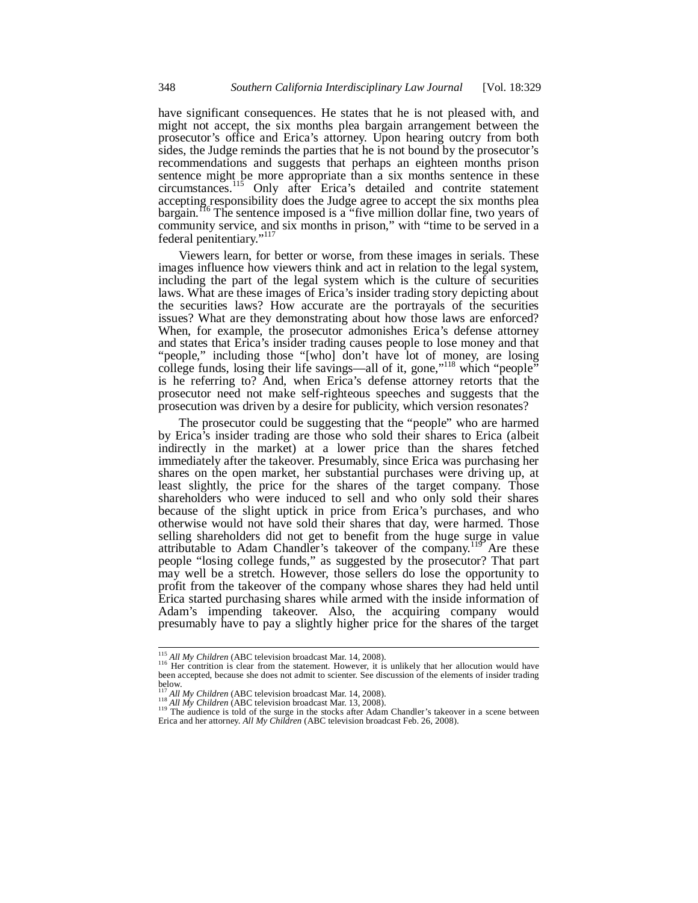have significant consequences. He states that he is not pleased with, and might not accept, the six months plea bargain arrangement between the prosecutor's office and Erica's attorney. Upon hearing outcry from both sides, the Judge reminds the parties that he is not bound by the prosecutor's recommendations and suggests that perhaps an eighteen months prison sentence might be more appropriate than a six months sentence in these circumstances.115 Only after Erica's detailed and contrite statement accepting responsibility does the Judge agree to accept the six months plea bargain.<sup>116</sup> The sentence imposed is a "five million dollar fine, two years of community service, and six months in prison," with "time to be served in a federal penitentiary."<sup>117</sup>

Viewers learn, for better or worse, from these images in serials. These images influence how viewers think and act in relation to the legal system, including the part of the legal system which is the culture of securities laws. What are these images of Erica's insider trading story depicting about the securities laws? How accurate are the portrayals of the securities issues? What are they demonstrating about how those laws are enforced? When, for example, the prosecutor admonishes Erica's defense attorney and states that Erica's insider trading causes people to lose money and that "people," including those "[who] don't have lot of money, are losing college funds, losing their life savings—all of it, gone,"<sup>118</sup> which "people" is he referring to? And, when Erica's defense attorney retorts that the prosecutor need not make self-righteous speeches and suggests that the prosecution was driven by a desire for publicity, which version resonates?

The prosecutor could be suggesting that the "people" who are harmed by Erica's insider trading are those who sold their shares to Erica (albeit indirectly in the market) at a lower price than the shares fetched immediately after the takeover. Presumably, since Erica was purchasing her shares on the open market, her substantial purchases were driving up, at least slightly, the price for the shares of the target company. Those shareholders who were induced to sell and who only sold their shares because of the slight uptick in price from Erica's purchases, and who otherwise would not have sold their shares that day, were harmed. Those selling shareholders did not get to benefit from the huge surge in value attributable to Adam Chandler's takeover of the company.<sup>119</sup> Are these people "losing college funds," as suggested by the prosecutor? That part may well be a stretch. However, those sellers do lose the opportunity to profit from the takeover of the company whose shares they had held until Erica started purchasing shares while armed with the inside information of Adam's impending takeover. Also, the acquiring company would presumably have to pay a slightly higher price for the shares of the target

<sup>&</sup>lt;sup>115</sup> All My Children (ABC television broadcast Mar. 14, 2008).

<sup>&</sup>lt;sup>116</sup> Her contrition is clear from the statement. However, it is unlikely that her allocution would have been accepted, because she does not admit to scienter. See discussion of the elements of insider trading

below.<br><sup>117</sup> All My Children (ABC television broadcast Mar. 14, 2008).<br><sup>118</sup> All My Children (ABC television broadcast Mar. 13, 2008).

<sup>&</sup>lt;sup>119</sup> The audience is told of the surge in the stocks after Adam Chandler's takeover in a scene between Erica and her attorney. *All My Children* (ABC television broadcast Feb. 26, 2008).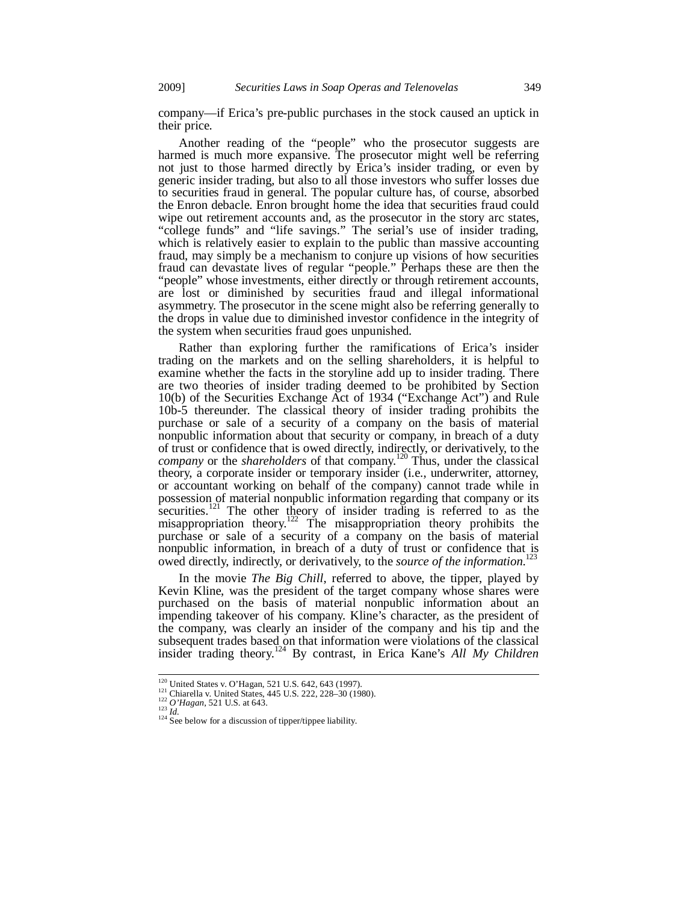company—if Erica's pre-public purchases in the stock caused an uptick in their price.

Another reading of the "people" who the prosecutor suggests are harmed is much more expansive. The prosecutor might well be referring not just to those harmed directly by Erica's insider trading, or even by generic insider trading, but also to all those investors who suffer losses due to securities fraud in general. The popular culture has, of course, absorbed the Enron debacle. Enron brought home the idea that securities fraud could wipe out retirement accounts and, as the prosecutor in the story arc states, "college funds" and "life savings." The serial's use of insider trading, which is relatively easier to explain to the public than massive accounting fraud, may simply be a mechanism to conjure up visions of how securities fraud can devastate lives of regular "people." Perhaps these are then the "people" whose investments, either directly or through retirement accounts, are lost or diminished by securities fraud and illegal informational asymmetry. The prosecutor in the scene might also be referring generally to the drops in value due to diminished investor confidence in the integrity of the system when securities fraud goes unpunished.

Rather than exploring further the ramifications of Erica's insider trading on the markets and on the selling shareholders, it is helpful to examine whether the facts in the storyline add up to insider trading. There are two theories of insider trading deemed to be prohibited by Section 10(b) of the Securities Exchange Act of 1934 ("Exchange Act") and Rule 10b-5 thereunder. The classical theory of insider trading prohibits the purchase or sale of a security of a company on the basis of material nonpublic information about that security or company, in breach of a duty of trust or confidence that is owed directly, indirectly, or derivatively, to the *company* or the *shareholders* of that company.120 Thus, under the classical theory, a corporate insider or temporary insider (i.e., underwriter, attorney, or accountant working on behalf of the company) cannot trade while in possession of material nonpublic information regarding that company or its securities.<sup>121</sup> The other theory of insider trading is referred to as the misappropriation theory.<sup>122</sup> The misappropriation theory prohibits the purchase or sale of a security of a company on the basis of material nonpublic information, in breach of a duty of trust or confidence that is<br>
nowed directly indirectly or derivatively to the seying of the information <sup>123</sup> owed directly, indirectly, or derivatively, to the *source of the information*.

In the movie *The Big Chill*, referred to above, the tipper, played by Kevin Kline, was the president of the target company whose shares were purchased on the basis of material nonpublic information about an impending takeover of his company. Kline's character, as the president of the company, was clearly an insider of the company and his tip and the subsequent trades based on that information were violations of the classical insider trading theory.124 By contrast, in Erica Kane's *All My Children* 

<sup>&</sup>lt;sup>120</sup> United States v. O'Hagan, 521 U.S. 642, 643 (1997).<br><sup>121</sup> Chiarella v. United States, 445 U.S. 222, 228–30 (1980).<br><sup>122</sup> O'Hagan, 521 U.S. at 643.<br><sup>124</sup> See below for a discussion of tipper/tippee liability.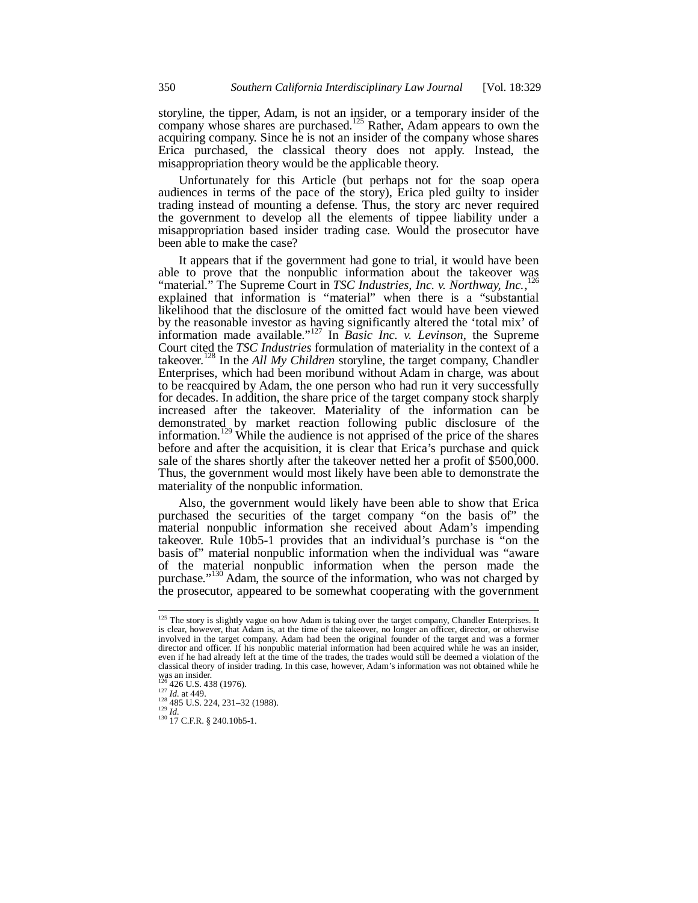storyline, the tipper, Adam, is not an insider, or a temporary insider of the company whose shares are purchased.<sup>125</sup> Rather, Adam appears to own the acquiring company. Since he is not an insider of the company whose shares Erica purchased, the classical theory does not apply. Instead, the misappropriation theory would be the applicable theory.

Unfortunately for this Article (but perhaps not for the soap opera audiences in terms of the pace of the story), Erica pled guilty to insider trading instead of mounting a defense. Thus, the story arc never required the government to develop all the elements of tippee liability under a misappropriation based insider trading case. Would the prosecutor have been able to make the case?

It appears that if the government had gone to trial, it would have been able to prove that the nonpublic information about the takeover was "material." The Supreme Court in *TSC Industries, Inc. v. Northway, Inc.*,<sup>126</sup> explained that information is "material" when there is a "substantial likelihood that the disclosure of the omitted fact would have been viewed by the reasonable investor as having significantly altered the 'total mix' of information made available."127 In *Basic Inc. v. Levinson*, the Supreme Court cited the *TSC Industries* formulation of materiality in the context of a takeover.<sup>128</sup> In the *All My Children* storyline, the target company, Chandler Enterprises, which had been moribund without Adam in charge, was about to be reacquired by Adam, the one person who had run it very successfully for decades. In addition, the share price of the target company stock sharply increased after the takeover. Materiality of the information can be demonstrated by market reaction following public disclosure of the information.<sup>129</sup> While the audience is not apprised of the price of the shares before and after the acquisition, it is clear that Erica's purchase and quick sale of the shares shortly after the takeover netted her a profit of \$500,000. Thus, the government would most likely have been able to demonstrate the materiality of the nonpublic information.

Also, the government would likely have been able to show that Erica purchased the securities of the target company "on the basis of" the material nonpublic information she received about Adam's impending takeover. Rule 10b5-1 provides that an individual's purchase is "on the basis of" material nonpublic information when the individual was "aware of the material nonpublic information when the person made the purchase."130 Adam, the source of the information, who was not charged by the prosecutor, appeared to be somewhat cooperating with the government

<sup>&</sup>lt;sup>125</sup> The story is slightly vague on how Adam is taking over the target company, Chandler Enterprises. It is clear, however, that Adam is, at the time of the takeover, no longer an officer, director, or otherwise involved in the target company. Adam had been the original founder of the target and was a former director and officer. If his nonpublic material information had been acquired while he was an insider, even if he had already left at the time of the trades, the trades would still be deemed a violation of the classical theory of insider trading. In this case, however, Adam's information was not obtained while he was an insider.<br><sup>126</sup> 426 U.S. 438 (1976).

<sup>127</sup> *Id.* at 449.<br>
<sup>128</sup> 485 U.S. 224, 231–32 (1988).<br>
<sup>129</sup> *Id.* 130 17 C.F.R. § 240.10b5-1.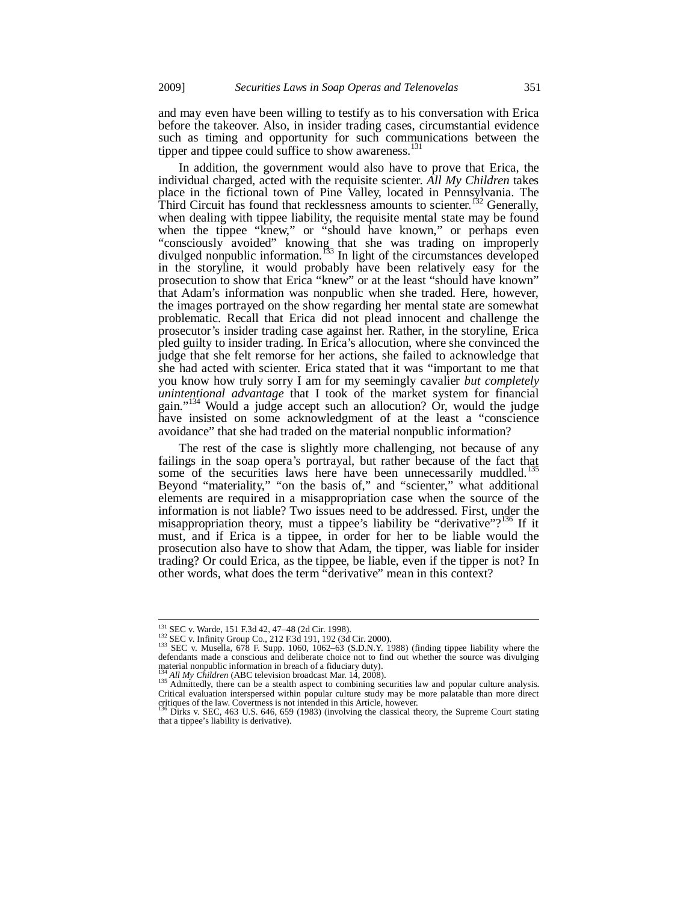and may even have been willing to testify as to his conversation with Erica before the takeover. Also, in insider trading cases, circumstantial evidence such as timing and opportunity for such communications between the tipper and tippee could suffice to show awareness.<sup>131</sup>

In addition, the government would also have to prove that Erica, the individual charged, acted with the requisite scienter. *All My Children* takes place in the fictional town of Pine Valley, located in Pennsylvania. The Third Circuit has found that recklessness amounts to scienter.<sup>132</sup> Generally, when dealing with tippee liability, the requisite mental state may be found when the tippee "knew," or "should have known," or perhaps even "consciously avoided" knowing that she was trading on improperly divulged nonpublic information.<sup>133</sup> In light of the circumstances developed in the storyline, it would probably have been relatively easy for the prosecution to show that Erica "knew" or at the least "should have known" that Adam's information was nonpublic when she traded. Here, however, the images portrayed on the show regarding her mental state are somewhat problematic. Recall that Erica did not plead innocent and challenge the prosecutor's insider trading case against her. Rather, in the storyline, Erica pled guilty to insider trading. In Erica's allocution, where she convinced the judge that she felt remorse for her actions, she failed to acknowledge that she had acted with scienter. Erica stated that it was "important to me that you know how truly sorry I am for my seemingly cavalier *but completely unintentional advantage* that I took of the market system for financial gain."134 Would a judge accept such an allocution? Or, would the judge have insisted on some acknowledgment of at the least a "conscience avoidance" that she had traded on the material nonpublic information?

The rest of the case is slightly more challenging, not because of any failings in the soap opera's portrayal, but rather because of the fact that some of the securities laws here have been unnecessarily muddled.<sup>1</sup> Beyond "materiality," "on the basis of," and "scienter," what additional elements are required in a misappropriation case when the source of the information is not liable? Two issues need to be addressed. First, under the misappropriation theory, must a tippee's liability be "derivative"? $136$  If it must, and if Erica is a tippee, in order for her to be liable would the prosecution also have to show that Adam, the tipper, was liable for insider trading? Or could Erica, as the tippee, be liable, even if the tipper is not? In other words, what does the term "derivative" mean in this context?

<sup>&</sup>lt;sup>131</sup> SEC v. Warde, 151 F.3d 42, 47-48 (2d Cir. 1998).

<sup>132</sup> SEC v. Warde, 151 F.3d 42,  $\pm$ 7–6 (2d Cir. 1992). 182 (3d Cir. 2000).<br>
133 SEC v. Infinity Group Co., 212 F.3d 191, 192 (3d Cir. 2000). 1068) (finding tippee liability where the source the source the Source was divul defendants made a conscious and deliberate choice not to find out whether the source was divulging material nonpublic information in breach of a fiduciary duty).

<sup>&</sup>lt;sup>134</sup> *All My Children* (ABC television broadcast Mar. 14, 2008).<br><sup>135</sup> Admittedly, there can be a stealth aspect to combining securities law and popular culture analysis. Critical evaluation interspersed within popular culture study may be more palatable than more direct critiques of the law. Covertness is not intended in this Article, however. 136 Dirks v. SEC, 463 U.S. 646, 659 (1983) (involving the classical theory, the Supreme Court stating

that a tippee's liability is derivative).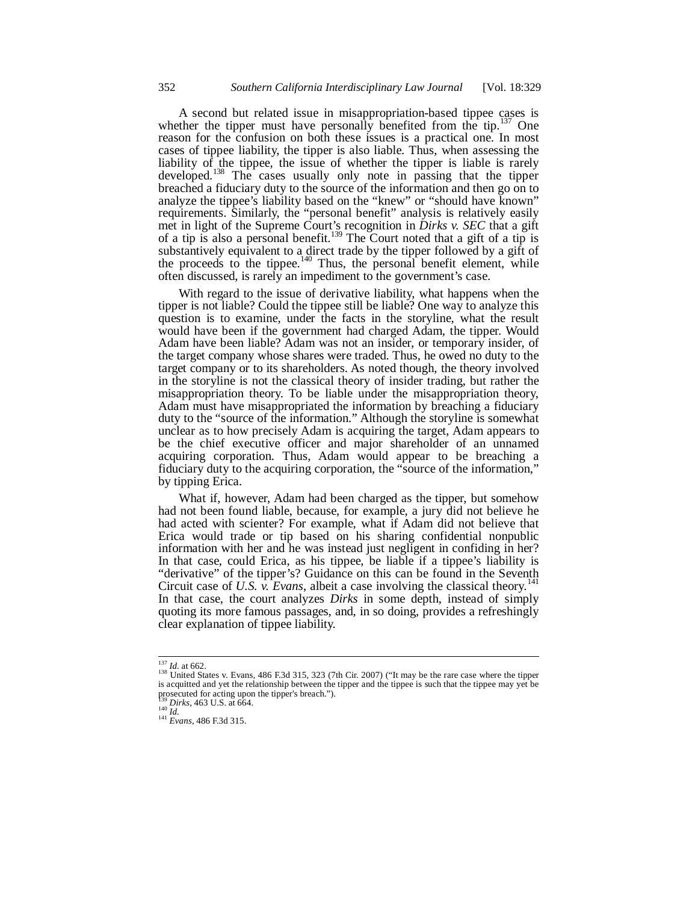A second but related issue in misappropriation-based tippee cases is whether the tipper must have personally benefited from the tip.<sup>137</sup> One reason for the confusion on both these issues is a practical one. In most cases of tippee liability, the tipper is also liable. Thus, when assessing the liability of the tippee, the issue of whether the tipper is liable is rarely developed.<sup>138</sup> The cases usually only note in passing that the tipper breached a fiduciary duty to the source of the information and then go on to analyze the tippee's liability based on the "knew" or "should have known" requirements. Similarly, the "personal benefit" analysis is relatively easily met in light of the Supreme Court's recognition in *Dirks v. SEC* that a gift of a tip is also a personal benefit.<sup>139</sup> The Court noted that a gift of a tip is substantively equivalent to a direct trade by the tipper followed by a gift of the proceeds to the tippee. $140$  Thus, the personal benefit element, while often discussed, is rarely an impediment to the government's case.

With regard to the issue of derivative liability, what happens when the tipper is not liable? Could the tippee still be liable? One way to analyze this question is to examine, under the facts in the storyline, what the result would have been if the government had charged Adam, the tipper. Would Adam have been liable? Adam was not an insider, or temporary insider, of the target company whose shares were traded. Thus, he owed no duty to the target company or to its shareholders. As noted though, the theory involved in the storyline is not the classical theory of insider trading, but rather the misappropriation theory. To be liable under the misappropriation theory, Adam must have misappropriated the information by breaching a fiduciary duty to the "source of the information." Although the storyline is somewhat unclear as to how precisely Adam is acquiring the target, Adam appears to be the chief executive officer and major shareholder of an unnamed acquiring corporation. Thus, Adam would appear to be breaching a fiduciary duty to the acquiring corporation, the "source of the information," by tipping Erica.

What if, however, Adam had been charged as the tipper, but somehow had not been found liable, because, for example, a jury did not believe he had acted with scienter? For example, what if Adam did not believe that Erica would trade or tip based on his sharing confidential nonpublic information with her and he was instead just negligent in confiding in her? In that case, could Erica, as his tippee, be liable if a tippee's liability is "derivative" of the tipper's? Guidance on this can be found in the Seventh Circuit case of *U.S. v. Evans*, albeit a case involving the classical theory.<sup>141</sup> In that case, the court analyzes *Dirks* in some depth, instead of simply quoting its more famous passages, and, in so doing, provides a refreshingly clear explanation of tippee liability.

 $137$  *Id.* at 662.<br><sup>138</sup> United States v. Evans, 486 F.3d 315, 323 (7th Cir. 2007) ("It may be the rare case where the tipper is acquitted and yet the relationship between the tipper and the tippee is such that the tippe prosecuted for acting upon the tipper's breach.").<br><sup>139</sup> Dirks, 463 U.S. at 664.

<sup>139</sup> *Dirks*, 463 U.S. at 664. 140 *Id.* <sup>141</sup> *Evans*, 486 F.3d 315.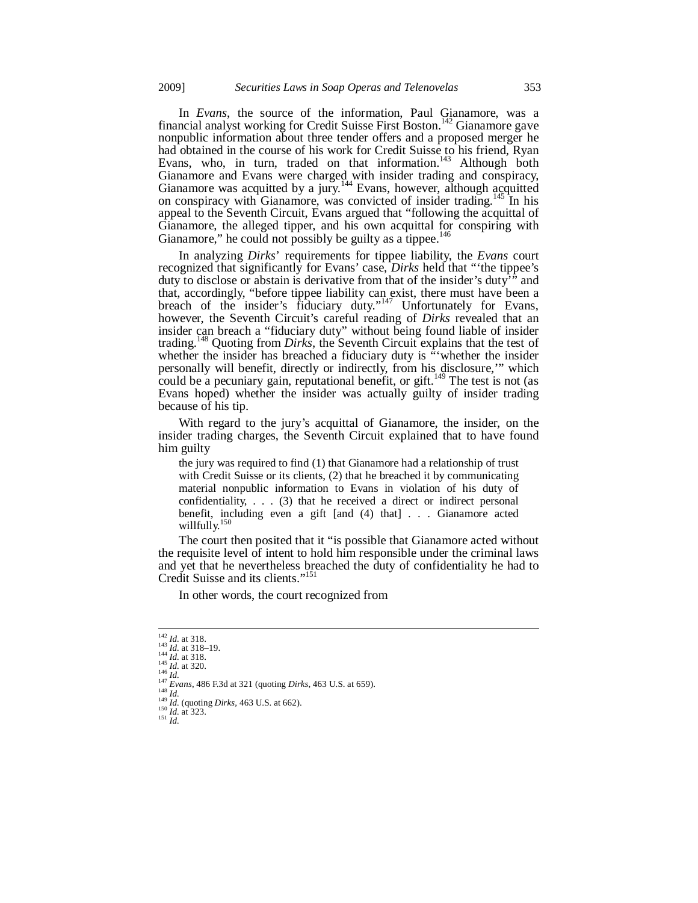In *Evans*, the source of the information, Paul Gianamore, was a financial analyst working for Credit Suisse First Boston.<sup>142</sup> Gianamore gave nonpublic information about three tender offers and a proposed merger he had obtained in the course of his work for Credit Suisse to his friend, Ryan Evans, who, in turn, traded on that information.<sup>143</sup> Although both Gianamore and Evans were charged with insider trading and conspiracy, Gianamore was acquitted by a jury.<sup>144</sup> Evans, however, although acquitted on conspiracy with Gianamore, was convicted of insider trading.<sup>145</sup> In his appeal to the Seventh Circuit, Evans argued that "following the acquittal of Gianamore, the alleged tipper, and his own acquittal for conspiring with Gianamore," he could not possibly be guilty as a tippee. $146$ 

In analyzing *Dirks*' requirements for tippee liability, the *Evans* court recognized that significantly for Evans' case, *Dirks* held that "'the tippee's duty to disclose or abstain is derivative from that of the insider's duty<sup>77</sup> and that, accordingly, "before tippee liability can exist, there must have been a breach of the insider's fiduciary duty."<sup>147</sup> Unfortunately for Evans, however, the Seventh Circuit's careful reading of *Dirks* revealed that an insider can breach a "fiduciary duty" without being found liable of insider trading.148 Quoting from *Dirks*, the Seventh Circuit explains that the test of whether the insider has breached a fiduciary duty is "whether the insider personally will benefit, directly or indirectly, from his disclosure,'" which could be a pecuniary gain, reputational benefit, or gift.<sup>149</sup> The test is not (as Evans hoped) whether the insider was actually guilty of insider trading because of his tip.

With regard to the jury's acquittal of Gianamore, the insider, on the insider trading charges, the Seventh Circuit explained that to have found him guilty

the jury was required to find (1) that Gianamore had a relationship of trust with Credit Suisse or its clients, (2) that he breached it by communicating material nonpublic information to Evans in violation of his duty of confidentiality, . . . (3) that he received a direct or indirect personal benefit, including even a gift [and (4) that] . . . Gianamore acted willfully.

The court then posited that it "is possible that Gianamore acted without the requisite level of intent to hold him responsible under the criminal laws and yet that he nevertheless breached the duty of confidentiality he had to Credit Suisse and its clients."151

In other words, the court recognized from

<sup>&</sup>lt;sup>142</sup> *Id.* at 318.<br><sup>143</sup> *Id.* at 318–19.<br><sup>144</sup> *Id.* at 318.

<sup>&</sup>lt;sup>144</sup> *Id.* at 310.<br>
<sup>145</sup> *Id.* at 320.<br>
<sup>146</sup> *Id.*<br>
<sup>147</sup> *Evans*, 486 F.3d at 321 (quoting *Dirks*, 463 U.S. at 659).<br>
<sup>149</sup> *Id.* (quoting *Dirks*, 463 U.S. at 662).<br>
<sup>150</sup> *Id.* at 323.<br>
<sup>151</sup> *Id.*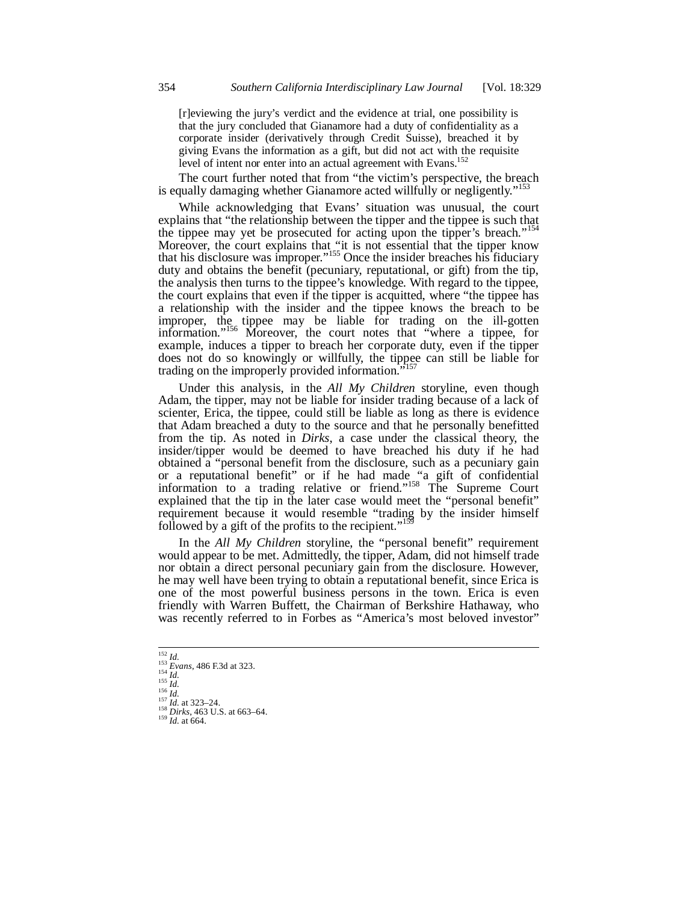[r]eviewing the jury's verdict and the evidence at trial, one possibility is that the jury concluded that Gianamore had a duty of confidentiality as a corporate insider (derivatively through Credit Suisse), breached it by giving Evans the information as a gift, but did not act with the requisite level of intent nor enter into an actual agreement with Evans.<sup>152</sup>

The court further noted that from "the victim's perspective, the breach is equally damaging whether Gianamore acted willfully or negligently."<sup>15</sup>

While acknowledging that Evans' situation was unusual, the court explains that "the relationship between the tipper and the tippee is such that the tippee may yet be prosecuted for acting upon the tipper's breach."<sup>154</sup> Moreover, the court explains that "it is not essential that the tipper know that his disclosure was improper."155 Once the insider breaches his fiduciary duty and obtains the benefit (pecuniary, reputational, or gift) from the tip, the analysis then turns to the tippee's knowledge. With regard to the tippee, the court explains that even if the tipper is acquitted, where "the tippee has a relationship with the insider and the tippee knows the breach to be improper, the tippee may be liable for trading on the ill-gotten information."156 Moreover, the court notes that "where a tippee, for example, induces a tipper to breach her corporate duty, even if the tipper does not do so knowingly or willfully, the tippee can still be liable for trading on the improperly provided information."

Under this analysis, in the *All My Children* storyline, even though Adam, the tipper, may not be liable for insider trading because of a lack of scienter, Erica, the tippee, could still be liable as long as there is evidence that Adam breached a duty to the source and that he personally benefitted from the tip. As noted in *Dirks*, a case under the classical theory, the insider/tipper would be deemed to have breached his duty if he had obtained a "personal benefit from the disclosure, such as a pecuniary gain or a reputational benefit" or if he had made "a gift of confidential information to a trading relative or friend."<sup>158</sup> The Supreme Court explained that the tip in the later case would meet the "personal benefit" requirement because it would resemble "trading by the insider himself followed by a gift of the profits to the recipient."<sup>15</sup>

In the *All My Children* storyline, the "personal benefit" requirement would appear to be met. Admittedly, the tipper, Adam, did not himself trade nor obtain a direct personal pecuniary gain from the disclosure. However, he may well have been trying to obtain a reputational benefit, since Erica is one of the most powerful business persons in the town. Erica is even friendly with Warren Buffett, the Chairman of Berkshire Hathaway, who was recently referred to in Forbes as "America's most beloved investor"

 $152$  *Id.* 

<sup>&</sup>lt;sup>152</sup> *Id.*<br>
<sup>153</sup> *Evans*, 486 F.3d at 323.<br>
<sup>155</sup> *Id.*<br>
<sup>157</sup> *Id.* at 323–24.<br>
<sup>158</sup> *Dirks*, 463 U.S. at 663–64.<br>
<sup>159</sup> *Id.* at 664.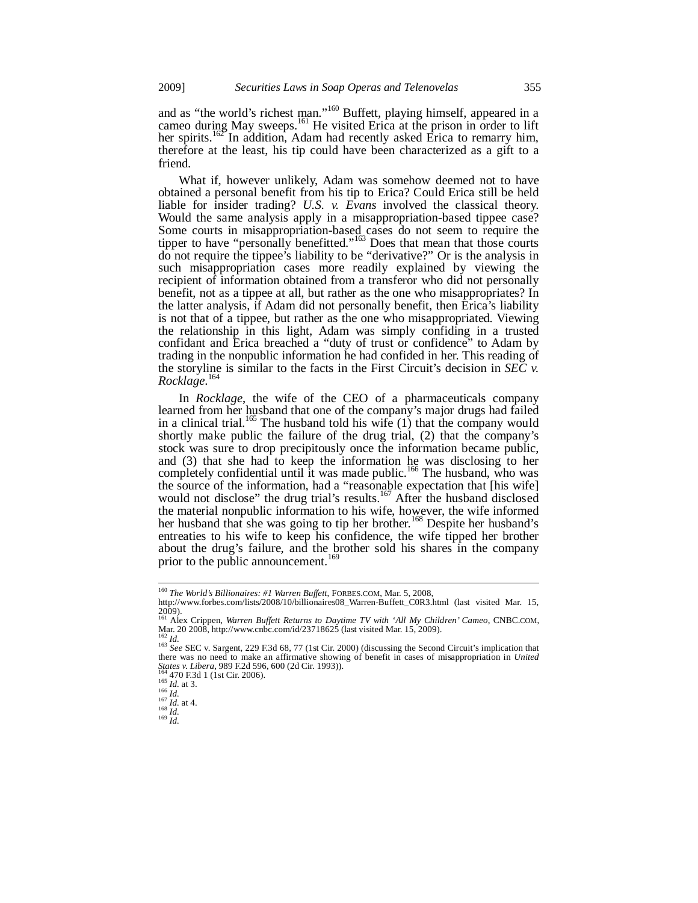and as "the world's richest man."<sup>160</sup> Buffett, playing himself, appeared in a cameo during May sweeps.<sup>161</sup> He visited Erica at the prison in order to lift her spirits.<sup>162</sup> In addition, Adam had recently asked Erica to remarry him, therefore at the least, his tip could have been characterized as a gift to a friend.

What if, however unlikely, Adam was somehow deemed not to have obtained a personal benefit from his tip to Erica? Could Erica still be held liable for insider trading? *U.S. v. Evans* involved the classical theory. Would the same analysis apply in a misappropriation-based tippee case? Some courts in misappropriation-based cases do not seem to require the tipper to have "personally benefitted."<sup>163</sup> Does that mean that those courts do not require the tippee's liability to be "derivative?" Or is the analysis in such misappropriation cases more readily explained by viewing the recipient of information obtained from a transferor who did not personally benefit, not as a tippee at all, but rather as the one who misappropriates? In the latter analysis, if Adam did not personally benefit, then Erica's liability is not that of a tippee, but rather as the one who misappropriated. Viewing the relationship in this light, Adam was simply confiding in a trusted confidant and Erica breached a "duty of trust or confidence" to Adam by trading in the nonpublic information he had confided in her. This reading of the storyline is similar to the facts in the First Circuit's decision in *SEC v. Rocklage*. 164

In *Rocklage*, the wife of the CEO of a pharmaceuticals company learned from her husband that one of the company's major drugs had failed in a clinical trial.<sup>165</sup> The husband told his wife  $(1)$  that the company would shortly make public the failure of the drug trial, (2) that the company's stock was sure to drop precipitously once the information became public, and (3) that she had to keep the information he was disclosing to her completely confidential until it was made public.<sup>166</sup> The husband, who was the source of the information, had a "reasonable expectation that [his wife] would not disclose" the drug trial's results.<sup>167</sup> After the husband disclosed the material nonpublic information to his wife, however, the wife informed her husband that she was going to tip her brother.<sup>168</sup> Despite her husband's entreaties to his wife to keep his confidence, the wife tipped her brother about the drug's failure, and the brother sold his shares in the company prior to the public announcement.<sup>169</sup>

<sup>160</sup> *The World's Billionaires: #1 Warren Buffett*, FORBES.COM, Mar. 5, 2008,

http://www.forbes.com/lists/2008/10/billionaires08\_Warren-Buffett\_C0R3.html (last visited Mar. 15,  $2009$ ).

<sup>161</sup> Alex Crippen, *Warren Buffett Returns to Daytime TV with 'All My Children' Cameo*, CNBC.COM, Mar. 20 2008, http://www.cnbc.com/id/23718625 (last visited Mar. 15, 2009).

<sup>&</sup>lt;sup>162</sup> *Id.* <sup>163</sup> *See* SEC v. Sargent, 229 F.3d 68, 77 (1st Cir. 2000) (discussing the Second Circuit's implication that the Second Circuit's implication that there was no need to make an affirmative showing of benefit in cases of misappropriation in *United* States v. Libera, 989 F.2d 596, 600 (2d Cir. 1993)).

*States 470 F.3d 1 (1st Cir. 2006).*<br>
165 *Id.* at 3.<br>
167 *Id.* at 3.<br>
167 *Id.* at 4.<br>
168 *Id.* 168 *Id.*<br>
169 *Id*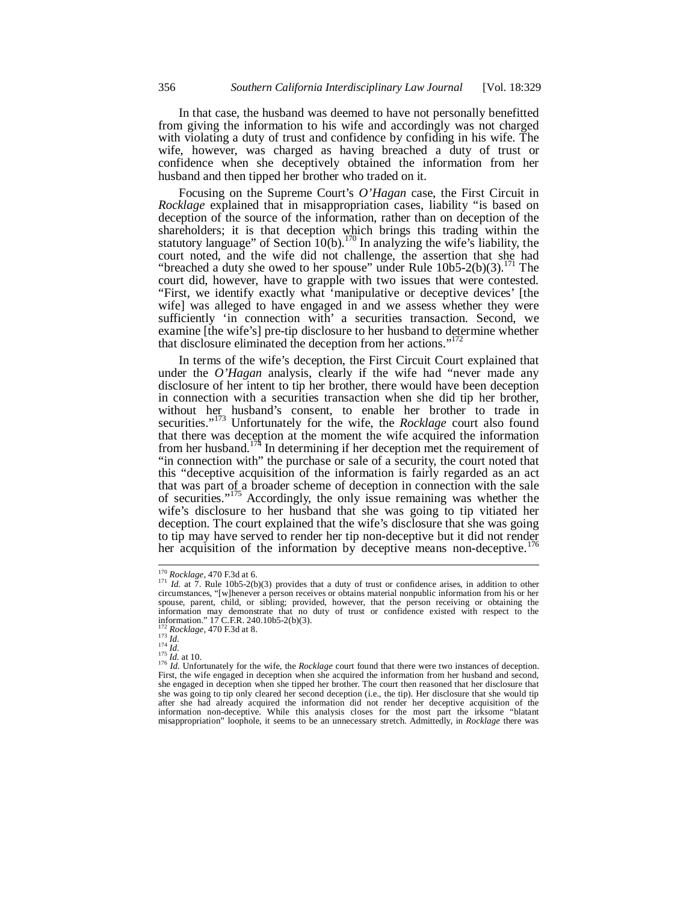In that case, the husband was deemed to have not personally benefitted from giving the information to his wife and accordingly was not charged with violating a duty of trust and confidence by confiding in his wife. The wife, however, was charged as having breached a duty of trust or confidence when she deceptively obtained the information from her husband and then tipped her brother who traded on it.

Focusing on the Supreme Court's *O'Hagan* case, the First Circuit in *Rocklage* explained that in misappropriation cases, liability "is based on deception of the source of the information, rather than on deception of the shareholders; it is that deception which brings this trading within the statutory language" of Section 10(b).<sup>170</sup> In analyzing the wife's liability, the court noted, and the wife did not challenge, the assertion that she had "breached a duty she owed to her spouse" under Rule  $10b5-2(b)(3)$ .<sup>11</sup> The court did, however, have to grapple with two issues that were contested. "First, we identify exactly what 'manipulative or deceptive devices' [the wife] was alleged to have engaged in and we assess whether they were sufficiently 'in connection with' a securities transaction. Second, we examine [the wife's] pre-tip disclosure to her husband to determine whether that disclosure eliminated the deception from her actions."

In terms of the wife's deception, the First Circuit Court explained that under the *O'Hagan* analysis, clearly if the wife had "never made any disclosure of her intent to tip her brother, there would have been deception in connection with a securities transaction when she did tip her brother, without her husband's consent, to enable her brother to trade in securities."173 Unfortunately for the wife, the *Rocklage* court also found that there was deception at the moment the wife acquired the information from her husband.<sup>174</sup> In determining if her deception met the requirement of "in connection with" the purchase or sale of a security, the court noted that this "deceptive acquisition of the information is fairly regarded as an act that was part of a broader scheme of deception in connection with the sale of securities."175 Accordingly, the only issue remaining was whether the wife's disclosure to her husband that she was going to tip vitiated her deception. The court explained that the wife's disclosure that she was going to tip may have served to render her tip non-deceptive but it did not render her acquisition of the information by deceptive means non-deceptive.

<sup>&</sup>lt;sup>170</sup> *Rocklage*, 470 F.3d at 6.<br><sup>171</sup> *Id.* at 7. Rule 10b5-2(b)(3) provides that a duty of trust or confidence arises, in addition to other circumstances, "[w]henever a person receives or obtains material nonpublic info spouse, parent, child, or sibling; provided, however, that the person receiving or obtaining the information may demonstrate that no duty of trust or confidence existed with respect to the information." 17 C.F.R. 240.10b5-2(b)(3).

<sup>&</sup>lt;sup>172</sup> *Rocklage*, 470 F.3d at 8.<br>
<sup>173</sup> *Id.*<br>
<sup>174</sup> *Id.*<br>
<sup>174</sup> *Id.*<br>
<sup>175</sup> *Id.* Unfortunately for the wife, the *Rocklage* court found that there were two instances of deception.<br>
<sup>176</sup> *Id.* Unfortunately for the wi First, the wife engaged in deception when she acquired the information from her husband and second, she engaged in deception when she tipped her brother. The court then reasoned that her disclosure that she was going to tip only cleared her second deception (i.e., the tip). Her disclosure that she would tip after she had already acquired the information did not render her deceptive acquisition of the information non-deceptive. While this analysis closes for the most part the irksome "blatant misappropriation" loophole, it seems to be an unnecessary stretch. Admittedly, in *Rocklage* there was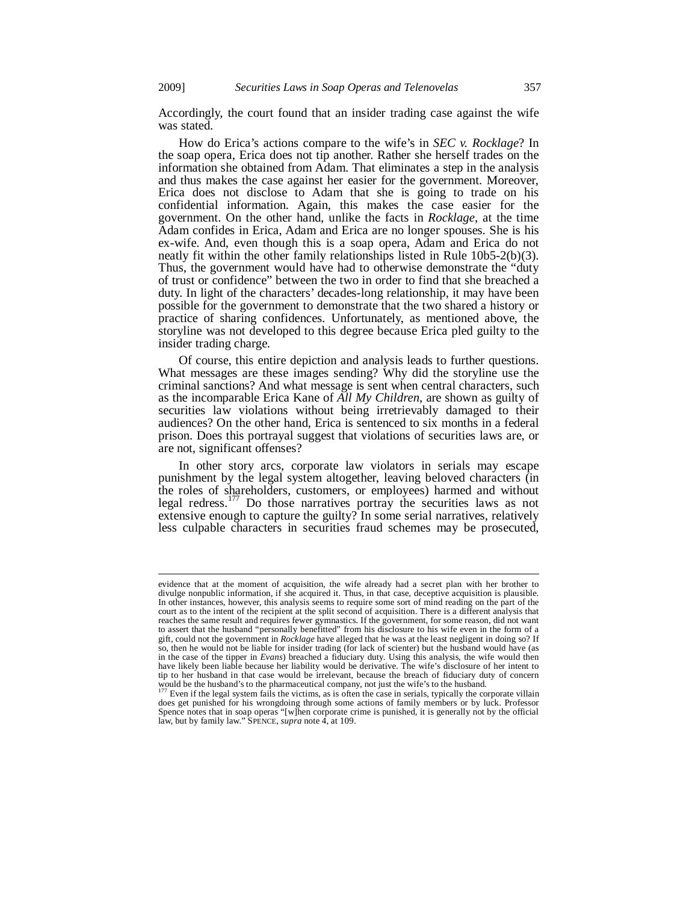Accordingly, the court found that an insider trading case against the wife was stated.

How do Erica's actions compare to the wife's in *SEC v. Rocklage*? In the soap opera, Erica does not tip another. Rather she herself trades on the information she obtained from Adam. That eliminates a step in the analysis and thus makes the case against her easier for the government. Moreover, Erica does not disclose to Adam that she is going to trade on his confidential information. Again, this makes the case easier for the government. On the other hand, unlike the facts in *Rocklage*, at the time Adam confides in Erica, Adam and Erica are no longer spouses. She is his ex-wife. And, even though this is a soap opera, Adam and Erica do not neatly fit within the other family relationships listed in Rule 10b5-2(b)(3). Thus, the government would have had to otherwise demonstrate the "duty of trust or confidence" between the two in order to find that she breached a duty. In light of the characters' decades-long relationship, it may have been possible for the government to demonstrate that the two shared a history or practice of sharing confidences. Unfortunately, as mentioned above, the storyline was not developed to this degree because Erica pled guilty to the insider trading charge.

Of course, this entire depiction and analysis leads to further questions. What messages are these images sending? Why did the storyline use the criminal sanctions? And what message is sent when central characters, such as the incomparable Erica Kane of *All My Children*, are shown as guilty of securities law violations without being irretrievably damaged to their audiences? On the other hand, Erica is sentenced to six months in a federal prison. Does this portrayal suggest that violations of securities laws are, or are not, significant offenses?

In other story arcs, corporate law violators in serials may escape punishment by the legal system altogether, leaving beloved characters (in the roles of shareholders, customers, or employees) harmed and without legal redress.<sup>177</sup> Do those narratives portray the securities laws as not extensive enough to capture the guilty? In some serial narratives, relatively less culpable characters in securities fraud schemes may be prosecuted,

-

evidence that at the moment of acquisition, the wife already had a secret plan with her brother to divulge nonpublic information, if she acquired it. Thus, in that case, deceptive acquisition is plausible. In other instances, however, this analysis seems to require some sort of mind reading on the part of the court as to the intent of the recipient at the split second of acquisition. There is a different analysis that reaches the same result and requires fewer gymnastics. If the government, for some reason, did not want to assert that the husband "personally benefitted" from his disclosure to his wife even in the form of a gift, could not the government in *Rocklage* have alleged that he was at the least negligent in doing so? If so, then he would not be liable for insider trading (for lack of scienter) but the husband would have (as in the case of the tipper in *Evans*) breached a fiduciary duty. Using this analysis, the wife would then have likely been liable because her liability would be derivative. The wife's disclosure of her intent to tip to her husband in that case would be irrelevant, because the breach of fiduciary duty of concern

would be the husband's to the pharmaceutical company, not just the wife's to the husband.<br><sup>177</sup> Even if the legal system fails the victims, as is often the case in serials, typically the corporate villain does get punished for his wrongdoing through some actions of family members or by luck. Professor Spence notes that in soap operas "[w]hen corporate crime is punished, it is generally not by the official law, but by family law." SPENCE, *supra* note 4, at 109.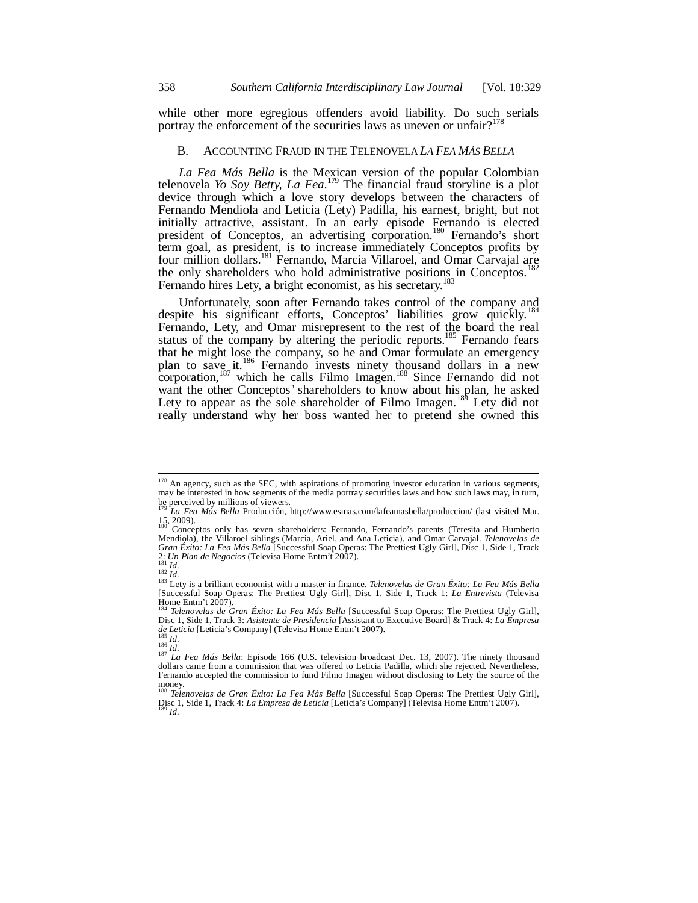while other more egregious offenders avoid liability. Do such serials portray the enforcement of the securities laws as uneven or unfair?<sup>178</sup>

## B. ACCOUNTING FRAUD IN THE TELENOVELA *LA FEA MÁS BELLA*

*La Fea Más Bella* is the Mexican version of the popular Colombian telenovela *Yo Soy Betty, La Fea*. 179 The financial fraud storyline is a plot device through which a love story develops between the characters of Fernando Mendiola and Leticia (Lety) Padilla, his earnest, bright, but not initially attractive, assistant. In an early episode Fernando is elected president of Conceptos, an advertising corporation.<sup>180</sup> Fernando's short term goal, as president, is to increase immediately Conceptos profits by four million dollars.<sup>181</sup> Fernando, Marcia Villaroel, and Omar Carvajal are<br>the only shareholders who hold edministrative positions in Concentre <sup>182</sup> the only shareholders who hold administrative positions in Conceptos*.* Fernando hires Lety, a bright economist, as his secretary.<sup>183</sup>

Unfortunately, soon after Fernando takes control of the company and despite his significant efforts, Conceptos' liabilities grow quickly.<sup>184</sup> Fernando, Lety, and Omar misrepresent to the rest of the board the real status of the company by altering the periodic reports.<sup>185</sup> Fernando fears that he might lose the company, so he and Omar formulate an emergency plan to save it.<sup>186</sup> Fernando invests ninety thousand dollars in a new corporation,<sup>187</sup> which he calls Filmo Imagen.<sup>188</sup> Since Fernando did not want the other Conceptos*'* shareholders to know about his plan, he asked Lety to appear as the sole shareholder of Filmo Imagen.<sup>189</sup> Lety did not really understand why her boss wanted her to pretend she owned this

 $178$  An agency, such as the SEC, with aspirations of promoting investor education in various segments, may be interested in how segments of the media portray securities laws and how such laws may, in turn,

be perceived by millions of viewers. <sup>179</sup> *La Fea Más Bella* Producción, http://www.esmas.com/lafeamasbella/produccion/ (last visited Mar.  $\frac{15}{180}$ , 2009).

<sup>180</sup> Conceptos only has seven shareholders: Fernando, Fernando's parents (Teresita and Humberto Mendiola), the Villaroel siblings (Marcia, Ariel, and Ana Leticia), and Omar Carvajal. *Telenovelas de Gran Éxito: La Fea Más Bella* [Successful Soap Operas: The Prettiest Ugly Girl], Disc 1, Side 1, Track<br>2: *Un Plan de Negocios* (Televisa Home Entm't 2007).

<sup>&</sup>lt;sup>181</sup> *Id.*<br><sup>182</sup> *Id.* 182 *Id.* 183 Lety is a brilliant economist with a master in finance. *Telenovelas de Gran Éxito: La Fea Más Bella* [Successful Soap Operas: The Prettiest Ugly Girl], Disc 1, Side 1, Track 1: *La Entrevista* (Televisa Home Entm't 2007).

<sup>184</sup> *Telenovelas de Gran Éxito: La Fea Más Bella* [Successful Soap Operas: The Prettiest Ugly Girl], Disc 1, Side 1, Track 3: *Asistente de Presidencia* [Assistant to Executive Board] & Track 4: *La Empresa* 

<sup>&</sup>lt;sup>185</sup> *Id.* 186 *Id.* 186 *Id.* 186 *Id.* 186 *Id.* 187 *La Fea Más Bella*: Episode 166 (U.S. television broadcast Dec. 13, 2007). The ninety thousand 187 *La Fea Más Bella*: Episode 166 (U.S. television broadcast Dec. 13, dollars came from a commission that was offered to Leticia Padilla, which she rejected. Nevertheless, Fernando accepted the commission to fund Filmo Imagen without disclosing to Lety the source of the money.

<sup>188</sup> *Telenovelas de Gran Éxito: La Fea Más Bella* [Successful Soap Operas: The Prettiest Ugly Girl], Disc 1, Side 1, Track 4: *La Empresa de Leticia* [Leticia's Company] (Televisa Home Entm't 2007). 189 *Id.*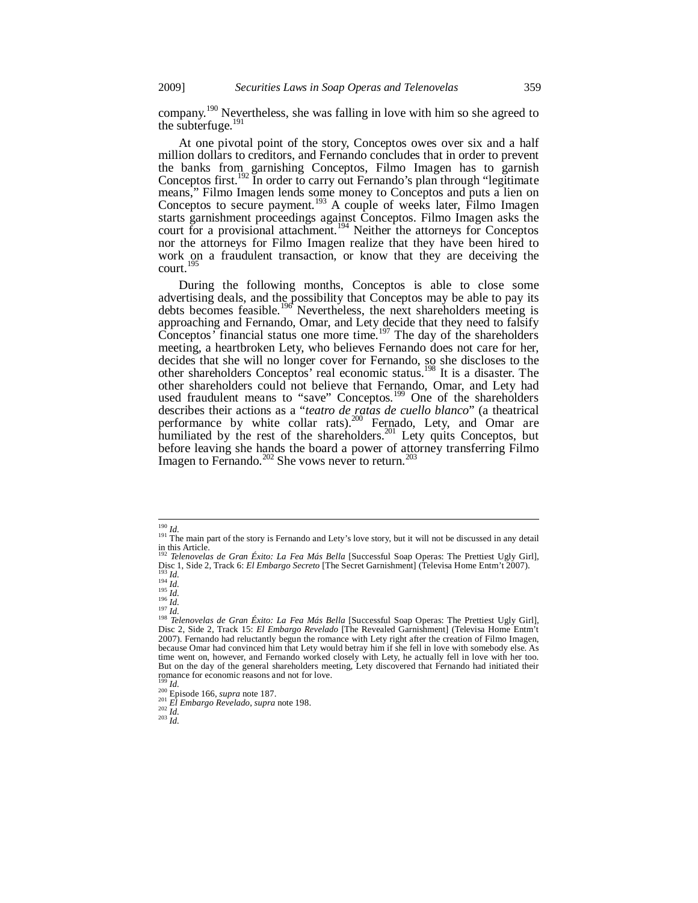company.<sup>190</sup> Nevertheless, she was falling in love with him so she agreed to the subterfuge.<sup>191</sup>

At one pivotal point of the story, Conceptos owes over six and a half million dollars to creditors, and Fernando concludes that in order to prevent the banks from garnishing Conceptos, Filmo Imagen has to garnish Conceptos first.<sup>192</sup> In order to carry out Fernando's plan through "legitimate means," Filmo Imagen lends some money to Conceptos and puts a lien on Conceptos to secure payment.<sup>193</sup> A couple of weeks later, Filmo Imagen starts garnishment proceedings against Conceptos. Filmo Imagen asks the court for a provisional attachment.<sup>194</sup> Neither the attorneys for Conceptos nor the attorneys for Filmo Imagen realize that they have been hired to work on a fraudulent transaction, or know that they are deceiving the court.<sup>195</sup>

During the following months, Conceptos is able to close some advertising deals, and the possibility that Conceptos may be able to pay its debts becomes feasible.<sup>196</sup> Nevertheless, the next shareholders meeting is approaching and Fernando, Omar, and Lety decide that they need to falsify Conceptos<sup>*'*</sup> financial status one more time.<sup>197</sup> The day of the shareholders meeting, a heartbroken Lety, who believes Fernando does not care for her, decides that she will no longer cover for Fernando, so she discloses to the other shareholders Conceptos' real economic status.198 It is a disaster. The other shareholders could not believe that Fernando, Omar, and Lety had used fraudulent means to "save" Conceptos*.* 199 One of the shareholders describes their actions as a "*teatro de ratas de cuello blanco*" (a theatrical performance by white collar rats).<sup>200</sup> Fernado, Lety, and Omar are humiliated by the rest of the shareholders.<sup>201</sup> Lety quits Conceptos, but before leaving she hands the board a power of attorney transferring Filmo Imagen to Fernando.<sup>202</sup> She vows never to return.<sup>203</sup>

<sup>&</sup>lt;sup>190</sup> *Id.*<br><sup>191</sup> The main part of the story is Fernando and Lety's love story, but it will not be discussed in any detail in this Article.

<sup>&</sup>lt;sup>192</sup> *Telenovelas de Gran Éxito: La Fea Más Bella* [Successful Soap Operas: The Prettiest Ugly Girl], Disc 1, Side 2, Track 6: *El Embargo Secreto* [The Secret Garnishment] (Televisa Home Entm't 2007). Disc 1, Side 2, Track 6: *Et Embargo Secreto* [The Secret Garnishment] (Televisa Home Entim t 2007).<br>
<sup>194</sup> *Id.*<br>
<sup>195</sup> *Id.*<br>
<sup>196</sup> *Id.*<br>
<sup>196</sup> *Id.*<br>
<sup>196</sup> *Id.*<br>
<sup>196</sup> *Id.*<br>
<sup>196</sup> *Id.*<br>
<sup>196</sup> *Id.*<br>
<sup>197</sup> *Id.*<br>
<sup>1</sup>

Disc 2, Side 2, Track 15: *El Embargo Revelado* [The Revealed Garnishment] (Televisa Home Entm't 2007). Fernando had reluctantly begun the romance with Lety right after the creation of Filmo Imagen, because Omar had convinced him that Lety would betray him if she fell in love with somebody else. As time went on, however, and Fernando worked closely with Lety, he actually fell in love with her too. But on the day of the general shareholders meeting, Lety discovered that Fernando had initiated their romance for economic reasons and not for love.<br> $^{199}$  *Id.* 

<sup>199</sup> *Id.* 200 Episode 166, *supra* note 187. 201 *El Embargo Revelado*, *supra* note 198. 202 *Id.* <sup>203</sup> *Id.*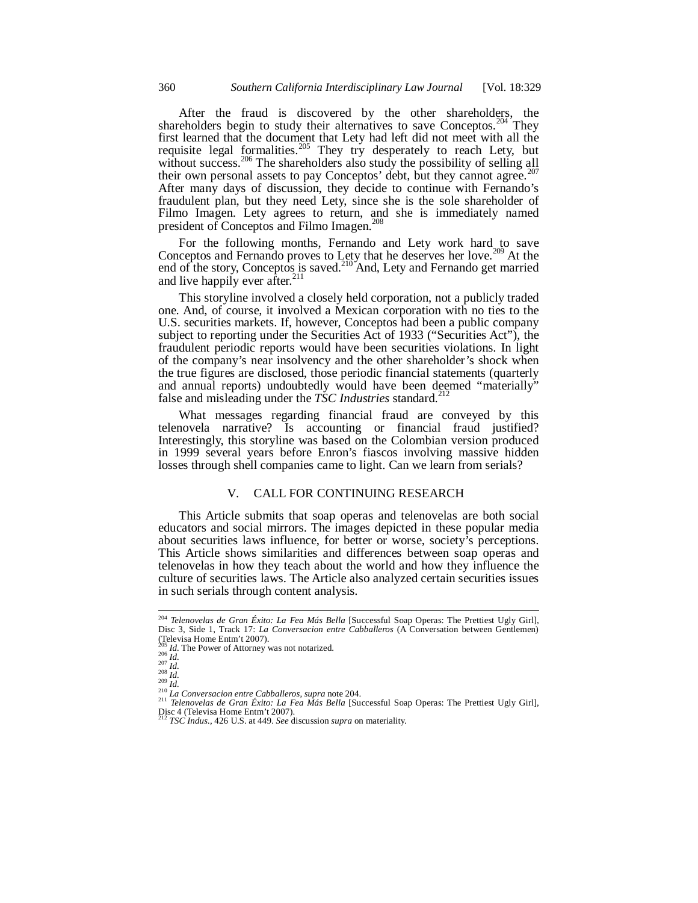After the fraud is discovered by the other shareholders, the shareholders begin to study their alternatives to save Conceptos.<sup>204</sup> They first learned that the document that Lety had left did not meet with all the requisite legal formalities.<sup>205</sup> They try desperately to reach Lety, but without success.<sup>206</sup> The shareholders also study the possibility of selling all their own personal assets to pay Conceptos' debt, but they cannot agree.<sup>207</sup> After many days of discussion, they decide to continue with Fernando's fraudulent plan, but they need Lety, since she is the sole shareholder of Filmo Imagen. Lety agrees to return, and she is immediately named president of Conceptos and Filmo Imagen.<sup>208</sup>

For the following months, Fernando and Lety work hard to save Conceptos and Fernando proves to Lety that he deserves her love.<sup>209</sup> At the end of the story, Conceptos is saved.<sup>210</sup> And, Lety and Fernando get married and live happily ever after. $^{211}$ 

This storyline involved a closely held corporation, not a publicly traded one. And, of course, it involved a Mexican corporation with no ties to the U.S. securities markets. If, however, Conceptos had been a public company subject to reporting under the Securities Act of 1933 ("Securities Act"), the fraudulent periodic reports would have been securities violations. In light of the company's near insolvency and the other shareholder's shock when the true figures are disclosed, those periodic financial statements (quarterly and annual reports) undoubtedly would have been deemed "materially" false and misleading under the *TSC Industries* standard.<sup>2</sup>

What messages regarding financial fraud are conveyed by this telenovela narrative? Is accounting or financial fraud justified? Interestingly, this storyline was based on the Colombian version produced in 1999 several years before Enron's fiascos involving massive hidden losses through shell companies came to light. Can we learn from serials?

#### V. CALL FOR CONTINUING RESEARCH

This Article submits that soap operas and telenovelas are both social educators and social mirrors. The images depicted in these popular media about securities laws influence, for better or worse, society's perceptions. This Article shows similarities and differences between soap operas and telenovelas in how they teach about the world and how they influence the culture of securities laws. The Article also analyzed certain securities issues in such serials through content analysis.

<sup>204</sup> *Telenovelas de Gran Éxito: La Fea Más Bella* [Successful Soap Operas: The Prettiest Ugly Girl], Disc 3, Side 1, Track 17: *La Conversacion entre Cabballeros* (A Conversation between Gentlemen) (Televisa Home Entm't 2007).<br><sup>205</sup> Id. The Power of Attorney was not notarized.

<sup>&</sup>lt;sup>200</sup> *Id.* The Power of Attorney was not notarized.<br>
<sup>200</sup> *Id.*<br>
<sup>200</sup> *Id.*<br>
<sup>200</sup> *Id.*<br>
<sup>200</sup> *Id.*<br>
<sup>200</sup> *Id.*<br>
<sup>210</sup> *Id.*<br>
<sup>210</sup> *Id.*<br>
<sup>210</sup> *Id.*<br>
<sup>210</sup> *Id.*<br>
<sup>210</sup> *Id.*<br>
<sup>210</sup> *Id.*<br>
<sup>210</sup> *Id.*<br> *Pelenovelas* Disc 4 (Televisa Home Entm't 2007). <sup>212</sup> *TSC Indus.*, 426 U.S. at 449. *See* discussion *supra* on materiality.